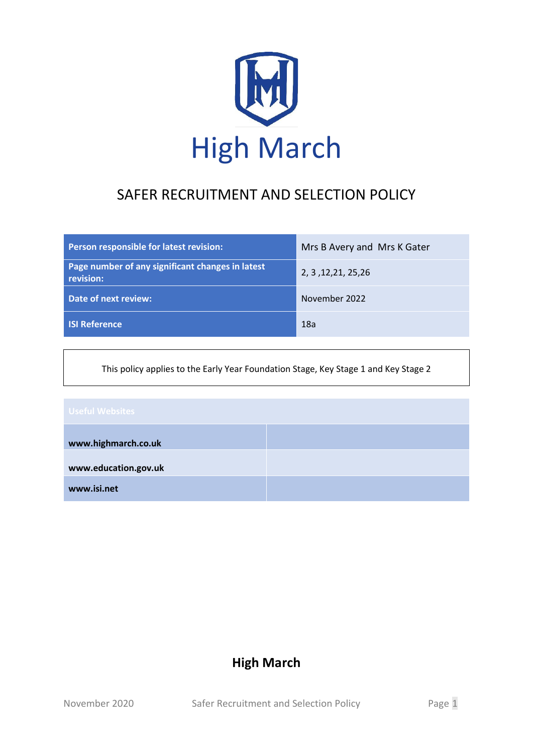

# SAFER RECRUITMENT AND SELECTION POLICY

| Person responsible for latest revision:                       | Mrs B Avery and Mrs K Gater |
|---------------------------------------------------------------|-----------------------------|
| Page number of any significant changes in latest<br>revision: | 2, 3, 12, 21, 25, 26        |
| Date of next review:                                          | November 2022               |
| <b>ISI Reference</b>                                          | 18a                         |

This policy applies to the Early Year Foundation Stage, Key Stage 1 and Key Stage 2

# **www.highmarch.co.uk www.education.gov.uk www.isi.net**

# **High March**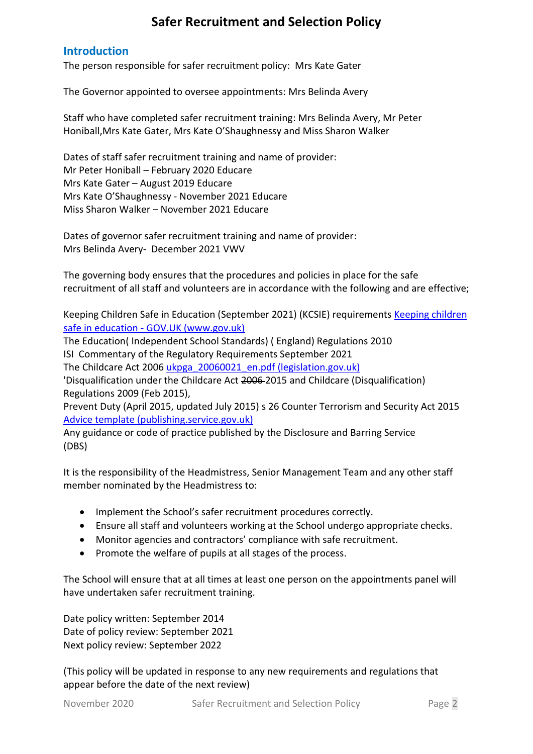# **Safer Recruitment and Selection Policy**

#### **Introduction**

The person responsible for safer recruitment policy: Mrs Kate Gater

The Governor appointed to oversee appointments: Mrs Belinda Avery

Staff who have completed safer recruitment training: Mrs Belinda Avery, Mr Peter Honiball,Mrs Kate Gater, Mrs Kate O'Shaughnessy and Miss Sharon Walker

Dates of staff safer recruitment training and name of provider: Mr Peter Honiball – February 2020 Educare Mrs Kate Gater – August 2019 Educare Mrs Kate O'Shaughnessy - November 2021 Educare Miss Sharon Walker – November 2021 Educare

Dates of governor safer recruitment training and name of provider: Mrs Belinda Avery- December 2021 VWV

The governing body ensures that the procedures and policies in place for the safe recruitment of all staff and volunteers are in accordance with the following and are effective;

Keeping Children Safe in Education (September 2021) (KCSIE) requirements [Keeping children](https://www.gov.uk/government/publications/keeping-children-safe-in-education--2)  safe in education - [GOV.UK \(www.gov.uk\)](https://www.gov.uk/government/publications/keeping-children-safe-in-education--2)

The Education( Independent School Standards) ( England) Regulations 2010 ISI Commentary of the Regulatory Requirements September 2021 The Childcare Act 200[6 ukpga\\_20060021\\_en.pdf \(legislation.gov.uk\)](https://www.legislation.gov.uk/ukpga/2006/21/pdfs/ukpga_20060021_en.pdf)

'Disqualification under the Childcare Act 2006 2015 and Childcare (Disqualification) Regulations 2009 (Feb 2015),

Prevent Duty (April 2015, updated July 2015) s 26 Counter Terrorism and Security Act 2015 [Advice template \(publishing.service.gov.uk\)](https://assets.publishing.service.gov.uk/government/uploads/system/uploads/attachment_data/file/439598/prevent-duty-departmental-advice-v6.pdf)

Any guidance or code of practice published by the Disclosure and Barring Service (DBS)

It is the responsibility of the Headmistress, Senior Management Team and any other staff member nominated by the Headmistress to:

- Implement the School's safer recruitment procedures correctly.
- Ensure all staff and volunteers working at the School undergo appropriate checks.
- Monitor agencies and contractors' compliance with safe recruitment.
- Promote the welfare of pupils at all stages of the process.

The School will ensure that at all times at least one person on the appointments panel will have undertaken safer recruitment training.

Date policy written: September 2014 Date of policy review: September 2021 Next policy review: September 2022

(This policy will be updated in response to any new requirements and regulations that appear before the date of the next review)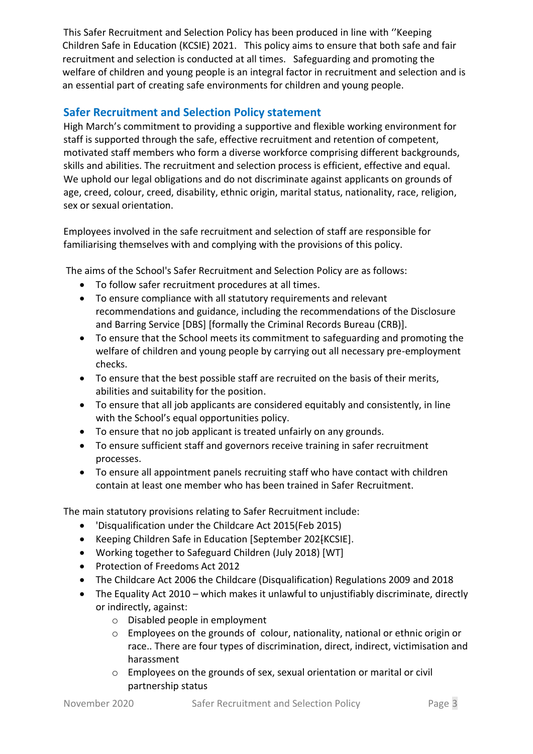This Safer Recruitment and Selection Policy has been produced in line with ''Keeping Children Safe in Education (KCSIE) 2021. This policy aims to ensure that both safe and fair recruitment and selection is conducted at all times. Safeguarding and promoting the welfare of children and young people is an integral factor in recruitment and selection and is an essential part of creating safe environments for children and young people.

### **Safer Recruitment and Selection Policy statement**

High March's commitment to providing a supportive and flexible working environment for staff is supported through the safe, effective recruitment and retention of competent, motivated staff members who form a diverse workforce comprising different backgrounds, skills and abilities. The recruitment and selection process is efficient, effective and equal. We uphold our legal obligations and do not discriminate against applicants on grounds of age, creed, colour, creed, disability, ethnic origin, marital status, nationality, race, religion, sex or sexual orientation.

Employees involved in the safe recruitment and selection of staff are responsible for familiarising themselves with and complying with the provisions of this policy.

The aims of the School's Safer Recruitment and Selection Policy are as follows:

- To follow safer recruitment procedures at all times.
- To ensure compliance with all statutory requirements and relevant recommendations and guidance, including the recommendations of the Disclosure and Barring Service [DBS] [formally the Criminal Records Bureau (CRB)].
- To ensure that the School meets its commitment to safeguarding and promoting the welfare of children and young people by carrying out all necessary pre-employment checks.
- To ensure that the best possible staff are recruited on the basis of their merits, abilities and suitability for the position.
- To ensure that all job applicants are considered equitably and consistently, in line with the School's equal opportunities policy.
- To ensure that no job applicant is treated unfairly on any grounds.
- To ensure sufficient staff and governors receive training in safer recruitment processes.
- To ensure all appointment panels recruiting staff who have contact with children contain at least one member who has been trained in Safer Recruitment.

The main statutory provisions relating to Safer Recruitment include:

- 'Disqualification under the Childcare Act 2015(Feb 2015)
- Keeping Children Safe in Education [September 202] KCSIE].
- Working together to Safeguard Children (July 2018) [WT]
- Protection of Freedoms Act 2012
- The Childcare Act 2006 the Childcare (Disqualification) Regulations 2009 and 2018
- The Equality Act 2010 which makes it unlawful to unjustifiably discriminate, directly or indirectly, against:
	- o Disabled people in employment
	- o Employees on the grounds of colour, nationality, national or ethnic origin or race.. There are four types of discrimination, direct, indirect, victimisation and harassment
	- o Employees on the grounds of sex, sexual orientation or marital or civil partnership status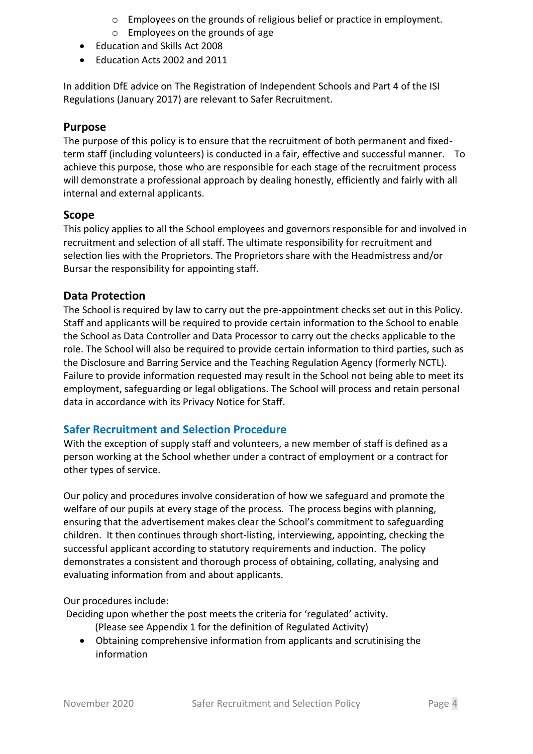- o Employees on the grounds of religious belief or practice in employment.
- o Employees on the grounds of age
- Education and Skills Act 2008
- Education Acts 2002 and 2011

In addition DfE advice on The Registration of Independent Schools and Part 4 of the ISI Regulations (January 2017) are relevant to Safer Recruitment.

#### **Purpose**

The purpose of this policy is to ensure that the recruitment of both permanent and fixedterm staff (including volunteers) is conducted in a fair, effective and successful manner. To achieve this purpose, those who are responsible for each stage of the recruitment process will demonstrate a professional approach by dealing honestly, efficiently and fairly with all internal and external applicants.

#### **Scope**

This policy applies to all the School employees and governors responsible for and involved in recruitment and selection of all staff. The ultimate responsibility for recruitment and selection lies with the Proprietors. The Proprietors share with the Headmistress and/or Bursar the responsibility for appointing staff.

#### **Data Protection**

The School is required by law to carry out the pre-appointment checks set out in this Policy. Staff and applicants will be required to provide certain information to the School to enable the School as Data Controller and Data Processor to carry out the checks applicable to the role. The School will also be required to provide certain information to third parties, such as the Disclosure and Barring Service and the Teaching Regulation Agency (formerly NCTL). Failure to provide information requested may result in the School not being able to meet its employment, safeguarding or legal obligations. The School will process and retain personal data in accordance with its Privacy Notice for Staff.

#### **Safer Recruitment and Selection Procedure**

With the exception of supply staff and volunteers, a new member of staff is defined as a person working at the School whether under a contract of employment or a contract for other types of service.

Our policy and procedures involve consideration of how we safeguard and promote the welfare of our pupils at every stage of the process. The process begins with planning, ensuring that the advertisement makes clear the School's commitment to safeguarding children. It then continues through short-listing, interviewing, appointing, checking the successful applicant according to statutory requirements and induction. The policy demonstrates a consistent and thorough process of obtaining, collating, analysing and evaluating information from and about applicants.

Our procedures include:

Deciding upon whether the post meets the criteria for 'regulated' activity.

- (Please see Appendix 1 for the definition of Regulated Activity)
- Obtaining comprehensive information from applicants and scrutinising the information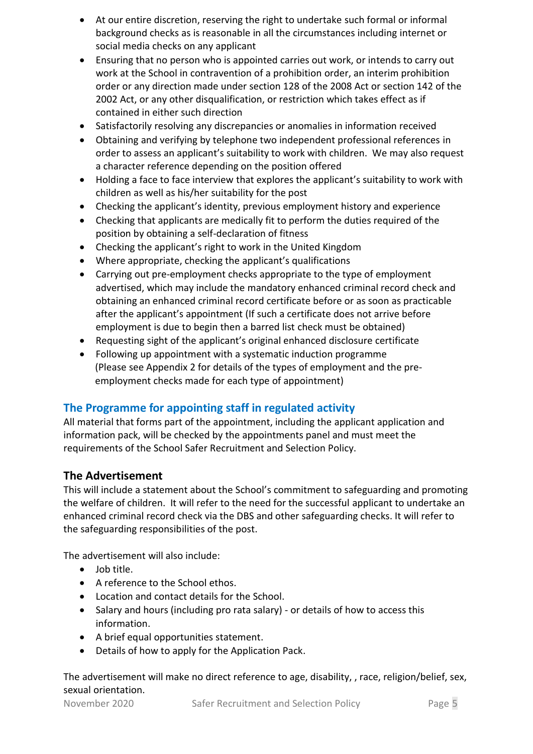- At our entire discretion, reserving the right to undertake such formal or informal background checks as is reasonable in all the circumstances including internet or social media checks on any applicant
- Ensuring that no person who is appointed carries out work, or intends to carry out work at the School in contravention of a prohibition order, an interim prohibition order or any direction made under section 128 of the 2008 Act or section 142 of the 2002 Act, or any other disqualification, or restriction which takes effect as if contained in either such direction
- Satisfactorily resolving any discrepancies or anomalies in information received
- Obtaining and verifying by telephone two independent professional references in order to assess an applicant's suitability to work with children. We may also request a character reference depending on the position offered
- Holding a face to face interview that explores the applicant's suitability to work with children as well as his/her suitability for the post
- Checking the applicant's identity, previous employment history and experience
- Checking that applicants are medically fit to perform the duties required of the position by obtaining a self-declaration of fitness
- Checking the applicant's right to work in the United Kingdom
- Where appropriate, checking the applicant's qualifications
- Carrying out pre-employment checks appropriate to the type of employment advertised, which may include the mandatory enhanced criminal record check and obtaining an enhanced criminal record certificate before or as soon as practicable after the applicant's appointment (If such a certificate does not arrive before employment is due to begin then a barred list check must be obtained)
- Requesting sight of the applicant's original enhanced disclosure certificate
- Following up appointment with a systematic induction programme (Please see Appendix 2 for details of the types of employment and the preemployment checks made for each type of appointment)

# **The Programme for appointing staff in regulated activity**

All material that forms part of the appointment, including the applicant application and information pack, will be checked by the appointments panel and must meet the requirements of the School Safer Recruitment and Selection Policy.

#### **The Advertisement**

This will include a statement about the School's commitment to safeguarding and promoting the welfare of children. It will refer to the need for the successful applicant to undertake an enhanced criminal record check via the DBS and other safeguarding checks. It will refer to the safeguarding responsibilities of the post.

The advertisement will also include:

- Job title.
- A reference to the School ethos.
- Location and contact details for the School.
- Salary and hours (including pro rata salary) or details of how to access this information.
- A brief equal opportunities statement.
- Details of how to apply for the Application Pack.

The advertisement will make no direct reference to age, disability, , race, religion/belief, sex, sexual orientation.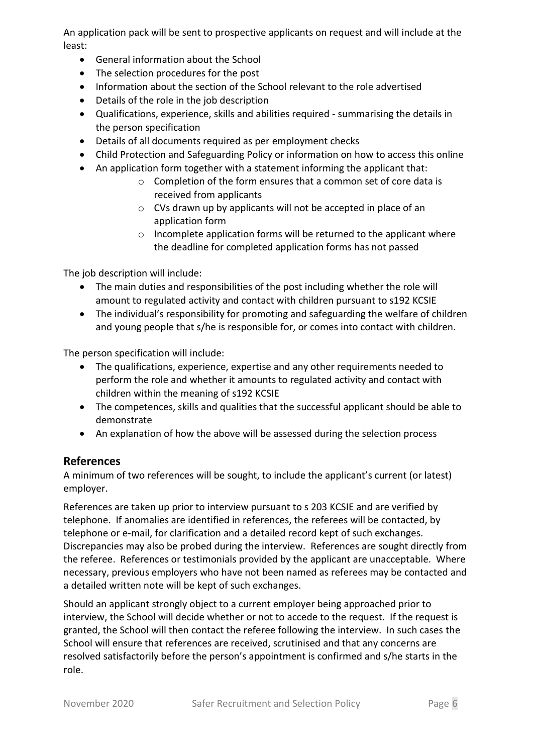An application pack will be sent to prospective applicants on request and will include at the least:

- General information about the School
- The selection procedures for the post
- Information about the section of the School relevant to the role advertised
- Details of the role in the job description
- Qualifications, experience, skills and abilities required summarising the details in the person specification
- Details of all documents required as per employment checks
- Child Protection and Safeguarding Policy or information on how to access this online
- An application form together with a statement informing the applicant that:
	- o Completion of the form ensures that a common set of core data is received from applicants
	- o CVs drawn up by applicants will not be accepted in place of an application form
	- o Incomplete application forms will be returned to the applicant where the deadline for completed application forms has not passed

The job description will include:

- The main duties and responsibilities of the post including whether the role will amount to regulated activity and contact with children pursuant to s192 KCSIE
- The individual's responsibility for promoting and safeguarding the welfare of children and young people that s/he is responsible for, or comes into contact with children.

The person specification will include:

- The qualifications, experience, expertise and any other requirements needed to perform the role and whether it amounts to regulated activity and contact with children within the meaning of s192 KCSIE
- The competences, skills and qualities that the successful applicant should be able to demonstrate
- An explanation of how the above will be assessed during the selection process

#### **References**

A minimum of two references will be sought, to include the applicant's current (or latest) employer.

References are taken up prior to interview pursuant to s 203 KCSIE and are verified by telephone. If anomalies are identified in references, the referees will be contacted, by telephone or e-mail, for clarification and a detailed record kept of such exchanges. Discrepancies may also be probed during the interview. References are sought directly from the referee. References or testimonials provided by the applicant are unacceptable. Where necessary, previous employers who have not been named as referees may be contacted and a detailed written note will be kept of such exchanges.

Should an applicant strongly object to a current employer being approached prior to interview, the School will decide whether or not to accede to the request. If the request is granted, the School will then contact the referee following the interview. In such cases the School will ensure that references are received, scrutinised and that any concerns are resolved satisfactorily before the person's appointment is confirmed and s/he starts in the role.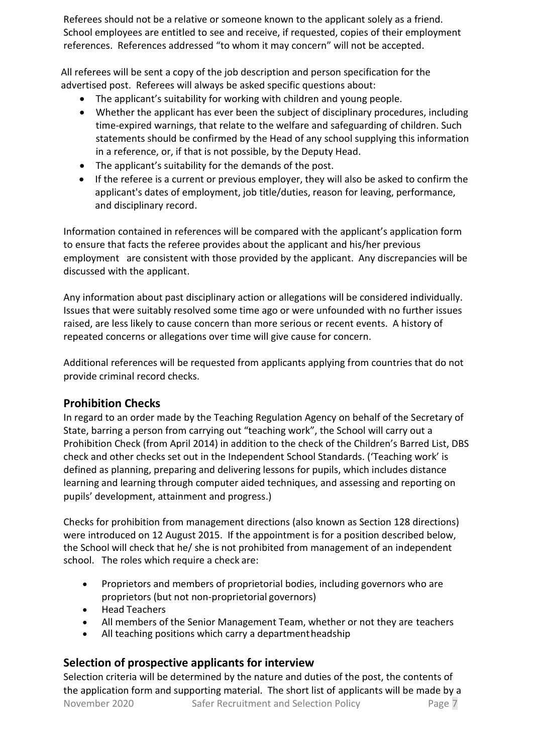Referees should not be a relative or someone known to the applicant solely as a friend. School employees are entitled to see and receive, if requested, copies of their employment references. References addressed "to whom it may concern" will not be accepted.

All referees will be sent a copy of the job description and person specification for the advertised post. Referees will always be asked specific questions about:

- The applicant's suitability for working with children and young people.
- Whether the applicant has ever been the subject of disciplinary procedures, including time-expired warnings, that relate to the welfare and safeguarding of children. Such statements should be confirmed by the Head of any school supplying this information in a reference, or, if that is not possible, by the Deputy Head.
- The applicant's suitability for the demands of the post.
- If the referee is a current or previous employer, they will also be asked to confirm the applicant's dates of employment, job title/duties, reason for leaving, performance, and disciplinary record.

Information contained in references will be compared with the applicant's application form to ensure that facts the referee provides about the applicant and his/her previous employment are consistent with those provided by the applicant. Any discrepancies will be discussed with the applicant.

Any information about past disciplinary action or allegations will be considered individually. Issues that were suitably resolved some time ago or were unfounded with no further issues raised, are less likely to cause concern than more serious or recent events. A history of repeated concerns or allegations over time will give cause for concern.

Additional references will be requested from applicants applying from countries that do not provide criminal record checks.

#### **Prohibition Checks**

In regard to an order made by the Teaching Regulation Agency on behalf of the Secretary of State, barring a person from carrying out "teaching work", the School will carry out a Prohibition Check (from April 2014) in addition to the check of the Children's Barred List, DBS check and other checks set out in the Independent School Standards. ('Teaching work' is defined as planning, preparing and delivering lessons for pupils, which includes distance learning and learning through computer aided techniques, and assessing and reporting on pupils' development, attainment and progress.)

Checks for prohibition from management directions (also known as Section 128 directions) were introduced on 12 August 2015. If the appointment is for a position described below, the School will check that he/ she is not prohibited from management of an independent school. The roles which require a check are:

- Proprietors and members of proprietorial bodies, including governors who are proprietors (but not non-proprietorial governors)
- Head Teachers
- All members of the Senior Management Team, whether or not they are teachers
- All teaching positions which carry a department headship

#### **Selection of prospective applicants for interview**

November 2020 Safer Recruitment and Selection Policy Page 7 Selection criteria will be determined by the nature and duties of the post, the contents of the application form and supporting material. The short list of applicants will be made by a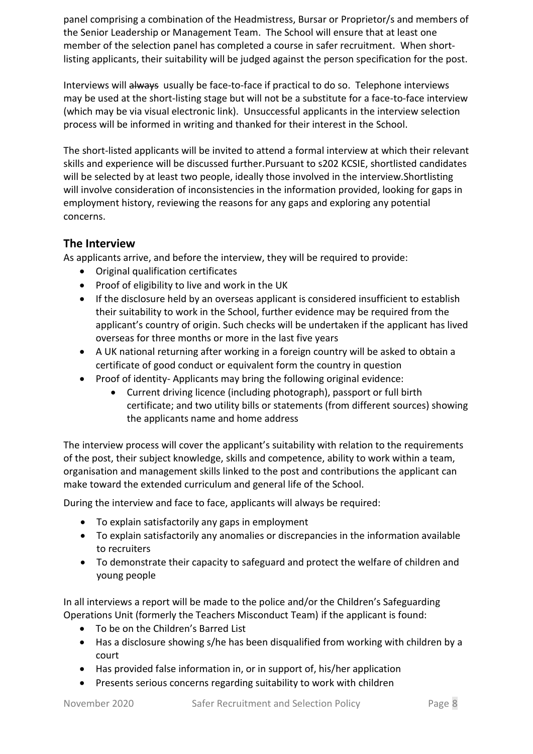panel comprising a combination of the Headmistress, Bursar or Proprietor/s and members of the Senior Leadership or Management Team. The School will ensure that at least one member of the selection panel has completed a course in safer recruitment. When shortlisting applicants, their suitability will be judged against the person specification for the post.

Interviews will always usually be face-to-face if practical to do so. Telephone interviews may be used at the short-listing stage but will not be a substitute for a face-to-face interview (which may be via visual electronic link). Unsuccessful applicants in the interview selection process will be informed in writing and thanked for their interest in the School.

The short-listed applicants will be invited to attend a formal interview at which their relevant skills and experience will be discussed further.Pursuant to s202 KCSIE, shortlisted candidates will be selected by at least two people, ideally those involved in the interview.Shortlisting will involve consideration of inconsistencies in the information provided, looking for gaps in employment history, reviewing the reasons for any gaps and exploring any potential concerns.

### **The Interview**

As applicants arrive, and before the interview, they will be required to provide:

- Original qualification certificates
- Proof of eligibility to live and work in the UK
- If the disclosure held by an overseas applicant is considered insufficient to establish their suitability to work in the School, further evidence may be required from the applicant's country of origin. Such checks will be undertaken if the applicant has lived overseas for three months or more in the last five years
- A UK national returning after working in a foreign country will be asked to obtain a certificate of good conduct or equivalent form the country in question
- Proof of identity- Applicants may bring the following original evidence:
	- Current driving licence (including photograph), passport or full birth certificate; and two utility bills or statements (from different sources) showing the applicants name and home address

The interview process will cover the applicant's suitability with relation to the requirements of the post, their subject knowledge, skills and competence, ability to work within a team, organisation and management skills linked to the post and contributions the applicant can make toward the extended curriculum and general life of the School.

During the interview and face to face, applicants will always be required:

- To explain satisfactorily any gaps in employment
- To explain satisfactorily any anomalies or discrepancies in the information available to recruiters
- To demonstrate their capacity to safeguard and protect the welfare of children and young people

In all interviews a report will be made to the police and/or the Children's Safeguarding Operations Unit (formerly the Teachers Misconduct Team) if the applicant is found:

- To be on the Children's Barred List
- Has a disclosure showing s/he has been disqualified from working with children by a court
- Has provided false information in, or in support of, his/her application
- Presents serious concerns regarding suitability to work with children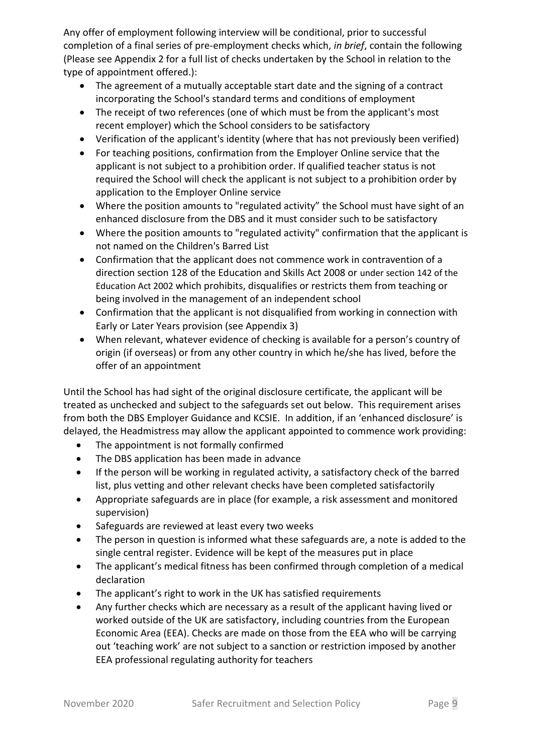Any offer of employment following interview will be conditional, prior to successful completion of a final series of pre-employment checks which, *in brief*, contain the following (Please see Appendix 2 for a full list of checks undertaken by the School in relation to the type of appointment offered.):

- The agreement of a mutually acceptable start date and the signing of a contract incorporating the School's standard terms and conditions of employment
- The receipt of two references (one of which must be from the applicant's most recent employer) which the School considers to be satisfactory
- Verification of the applicant's identity (where that has not previously been verified)
- For teaching positions, confirmation from the Employer Online service that the applicant is not subject to a prohibition order. If qualified teacher status is not required the School will check the applicant is not subject to a prohibition order by application to the Employer Online service
- Where the position amounts to "regulated activity" the School must have sight of an enhanced disclosure from the DBS and it must consider such to be satisfactory
- Where the position amounts to "regulated activity" confirmation that the applicant is not named on the Children's Barred List
- Confirmation that the applicant does not commence work in contravention of a direction section 128 of the Education and Skills Act 2008 or under section 142 of the Education Act 2002 which prohibits, disqualifies or restricts them from teaching or being involved in the management of an independent school
- Confirmation that the applicant is not disqualified from working in connection with Early or Later Years provision (see Appendix 3)
- When relevant, whatever evidence of checking is available for a person's country of origin (if overseas) or from any other country in which he/she has lived, before the offer of an appointment

Until the School has had sight of the original disclosure certificate, the applicant will be treated as unchecked and subject to the safeguards set out below. This requirement arises from both the DBS Employer Guidance and KCSIE. In addition, if an 'enhanced disclosure' is delayed, the Headmistress may allow the applicant appointed to commence work providing:

- The appointment is not formally confirmed
- The DBS application has been made in advance
- If the person will be working in regulated activity, a satisfactory check of the barred list, plus vetting and other relevant checks have been completed satisfactorily
- Appropriate safeguards are in place (for example, a risk assessment and monitored supervision)
- Safeguards are reviewed at least every two weeks
- The person in question is informed what these safeguards are, a note is added to the single central register. Evidence will be kept of the measures put in place
- The applicant's medical fitness has been confirmed through completion of a medical declaration
- The applicant's right to work in the UK has satisfied requirements
- Any further checks which are necessary as a result of the applicant having lived or worked outside of the UK are satisfactory, including countries from the European Economic Area (EEA). Checks are made on those from the EEA who will be carrying out 'teaching work' are not subject to a sanction or restriction imposed by another EEA professional regulating authority for teachers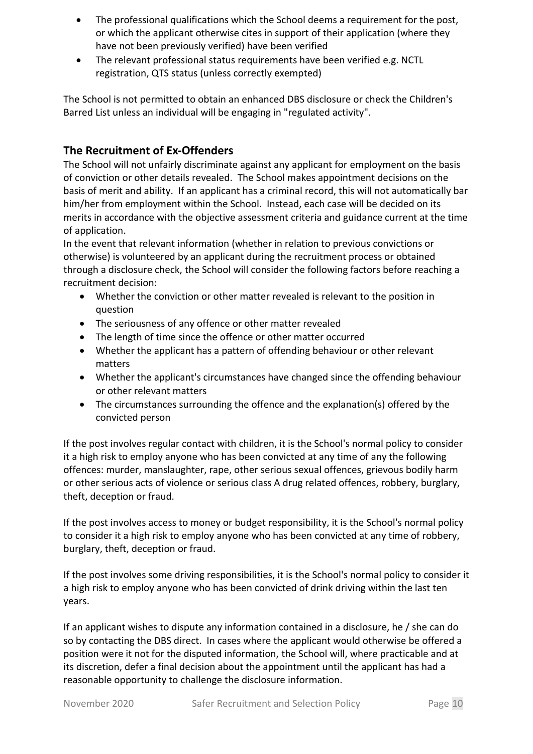- The professional qualifications which the School deems a requirement for the post, or which the applicant otherwise cites in support of their application (where they have not been previously verified) have been verified
- The relevant professional status requirements have been verified e.g. NCTL registration, QTS status (unless correctly exempted)

The School is not permitted to obtain an enhanced DBS disclosure or check the Children's Barred List unless an individual will be engaging in "regulated activity".

### **The Recruitment of Ex-Offenders**

The School will not unfairly discriminate against any applicant for employment on the basis of conviction or other details revealed. The School makes appointment decisions on the basis of merit and ability. If an applicant has a criminal record, this will not automatically bar him/her from employment within the School. Instead, each case will be decided on its merits in accordance with the objective assessment criteria and guidance current at the time of application.

In the event that relevant information (whether in relation to previous convictions or otherwise) is volunteered by an applicant during the recruitment process or obtained through a disclosure check, the School will consider the following factors before reaching a recruitment decision:

- Whether the conviction or other matter revealed is relevant to the position in question
- The seriousness of any offence or other matter revealed
- The length of time since the offence or other matter occurred
- Whether the applicant has a pattern of offending behaviour or other relevant matters
- Whether the applicant's circumstances have changed since the offending behaviour or other relevant matters
- The circumstances surrounding the offence and the explanation(s) offered by the convicted person

If the post involves regular contact with children, it is the School's normal policy to consider it a high risk to employ anyone who has been convicted at any time of any the following offences: murder, manslaughter, rape, other serious sexual offences, grievous bodily harm or other serious acts of violence or serious class A drug related offences, robbery, burglary, theft, deception or fraud.

If the post involves access to money or budget responsibility, it is the School's normal policy to consider it a high risk to employ anyone who has been convicted at any time of robbery, burglary, theft, deception or fraud.

If the post involves some driving responsibilities, it is the School's normal policy to consider it a high risk to employ anyone who has been convicted of drink driving within the last ten years.

If an applicant wishes to dispute any information contained in a disclosure, he / she can do so by contacting the DBS direct. In cases where the applicant would otherwise be offered a position were it not for the disputed information, the School will, where practicable and at its discretion, defer a final decision about the appointment until the applicant has had a reasonable opportunity to challenge the disclosure information.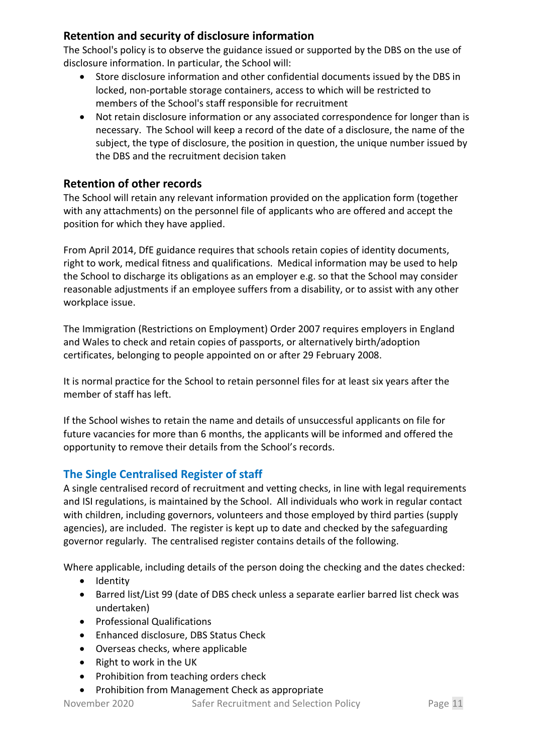## **Retention and security of disclosure information**

The School's policy is to observe the guidance issued or supported by the DBS on the use of disclosure information. In particular, the School will:

- Store disclosure information and other confidential documents issued by the DBS in locked, non-portable storage containers, access to which will be restricted to members of the School's staff responsible for recruitment
- Not retain disclosure information or any associated correspondence for longer than is necessary. The School will keep a record of the date of a disclosure, the name of the subject, the type of disclosure, the position in question, the unique number issued by the DBS and the recruitment decision taken

# **Retention of other records**

The School will retain any relevant information provided on the application form (together with any attachments) on the personnel file of applicants who are offered and accept the position for which they have applied.

From April 2014, DfE guidance requires that schools retain copies of identity documents, right to work, medical fitness and qualifications. Medical information may be used to help the School to discharge its obligations as an employer e.g. so that the School may consider reasonable adjustments if an employee suffers from a disability, or to assist with any other workplace issue.

The Immigration (Restrictions on Employment) Order 2007 requires employers in England and Wales to check and retain copies of passports, or alternatively birth/adoption certificates, belonging to people appointed on or after 29 February 2008.

It is normal practice for the School to retain personnel files for at least six years after the member of staff has left.

If the School wishes to retain the name and details of unsuccessful applicants on file for future vacancies for more than 6 months, the applicants will be informed and offered the opportunity to remove their details from the School's records.

# **The Single Centralised Register of staff**

A single centralised record of recruitment and vetting checks, in line with legal requirements and ISI regulations, is maintained by the School. All individuals who work in regular contact with children, including governors, volunteers and those employed by third parties (supply agencies), are included. The register is kept up to date and checked by the safeguarding governor regularly. The centralised register contains details of the following.

Where applicable, including details of the person doing the checking and the dates checked:

- Identity
- Barred list/List 99 (date of DBS check unless a separate earlier barred list check was undertaken)
- Professional Qualifications
- Enhanced disclosure, DBS Status Check
- Overseas checks, where applicable
- Right to work in the UK
- Prohibition from teaching orders check

• Prohibition from Management Check as appropriate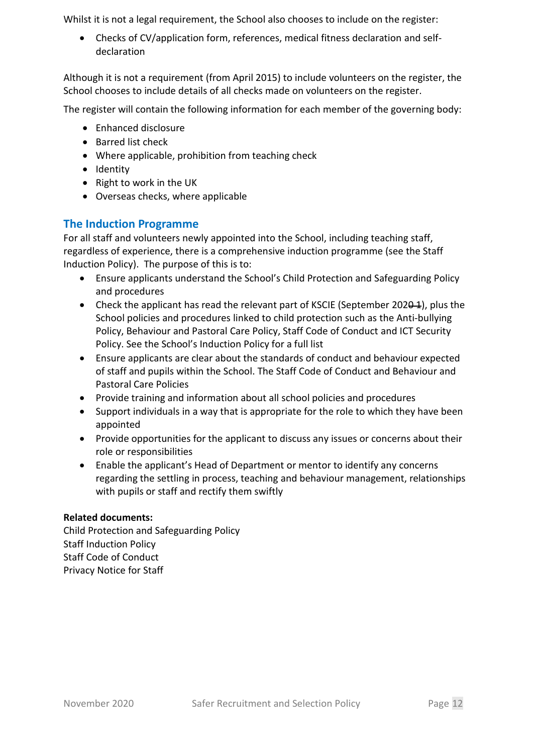Whilst it is not a legal requirement, the School also chooses to include on the register:

• Checks of CV/application form, references, medical fitness declaration and selfdeclaration

Although it is not a requirement (from April 2015) to include volunteers on the register, the School chooses to include details of all checks made on volunteers on the register.

The register will contain the following information for each member of the governing body:

- Enhanced disclosure
- Barred list check
- Where applicable, prohibition from teaching check
- Identity
- Right to work in the UK
- Overseas checks, where applicable

#### **The Induction Programme**

For all staff and volunteers newly appointed into the School, including teaching staff, regardless of experience, there is a comprehensive induction programme (see the Staff Induction Policy). The purpose of this is to:

- Ensure applicants understand the School's Child Protection and Safeguarding Policy and procedures
- Check the applicant has read the relevant part of KSCIE (September 202<del>0 1</del>), plus the School policies and procedures linked to child protection such as the Anti-bullying Policy, Behaviour and Pastoral Care Policy, Staff Code of Conduct and ICT Security Policy. See the School's Induction Policy for a full list
- Ensure applicants are clear about the standards of conduct and behaviour expected of staff and pupils within the School. The Staff Code of Conduct and Behaviour and Pastoral Care Policies
- Provide training and information about all school policies and procedures
- Support individuals in a way that is appropriate for the role to which they have been appointed
- Provide opportunities for the applicant to discuss any issues or concerns about their role or responsibilities
- Enable the applicant's Head of Department or mentor to identify any concerns regarding the settling in process, teaching and behaviour management, relationships with pupils or staff and rectify them swiftly

#### **Related documents:**

Child Protection and Safeguarding Policy Staff Induction Policy Staff Code of Conduct Privacy Notice for Staff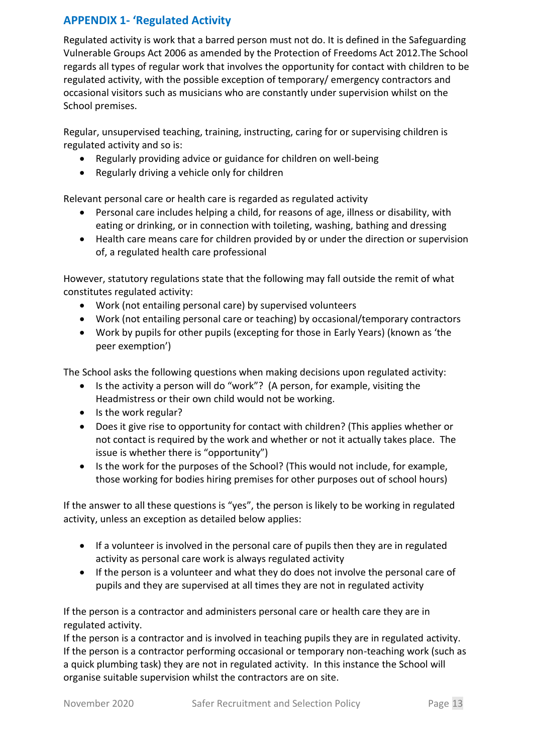# **APPENDIX 1- 'Regulated Activity**

Regulated activity is work that a barred person must not do. It is defined in the Safeguarding Vulnerable Groups Act 2006 as amended by the Protection of Freedoms Act 2012.The School regards all types of regular work that involves the opportunity for contact with children to be regulated activity, with the possible exception of temporary/ emergency contractors and occasional visitors such as musicians who are constantly under supervision whilst on the School premises.

Regular, unsupervised teaching, training, instructing, caring for or supervising children is regulated activity and so is:

- Regularly providing advice or guidance for children on well-being
- Regularly driving a vehicle only for children

Relevant personal care or health care is regarded as regulated activity

- Personal care includes helping a child, for reasons of age, illness or disability, with eating or drinking, or in connection with toileting, washing, bathing and dressing
- Health care means care for children provided by or under the direction or supervision of, a regulated health care professional

However, statutory regulations state that the following may fall outside the remit of what constitutes regulated activity:

- Work (not entailing personal care) by supervised volunteers
- Work (not entailing personal care or teaching) by occasional/temporary contractors
- Work by pupils for other pupils (excepting for those in Early Years) (known as 'the peer exemption')

The School asks the following questions when making decisions upon regulated activity:

- Is the activity a person will do "work"? (A person, for example, visiting the Headmistress or their own child would not be working.
- Is the work regular?
- Does it give rise to opportunity for contact with children? (This applies whether or not contact is required by the work and whether or not it actually takes place. The issue is whether there is "opportunity")
- Is the work for the purposes of the School? (This would not include, for example, those working for bodies hiring premises for other purposes out of school hours)

If the answer to all these questions is "yes", the person is likely to be working in regulated activity, unless an exception as detailed below applies:

- If a volunteer is involved in the personal care of pupils then they are in regulated activity as personal care work is always regulated activity
- If the person is a volunteer and what they do does not involve the personal care of pupils and they are supervised at all times they are not in regulated activity

If the person is a contractor and administers personal care or health care they are in regulated activity.

If the person is a contractor and is involved in teaching pupils they are in regulated activity. If the person is a contractor performing occasional or temporary non-teaching work (such as a quick plumbing task) they are not in regulated activity. In this instance the School will organise suitable supervision whilst the contractors are on site.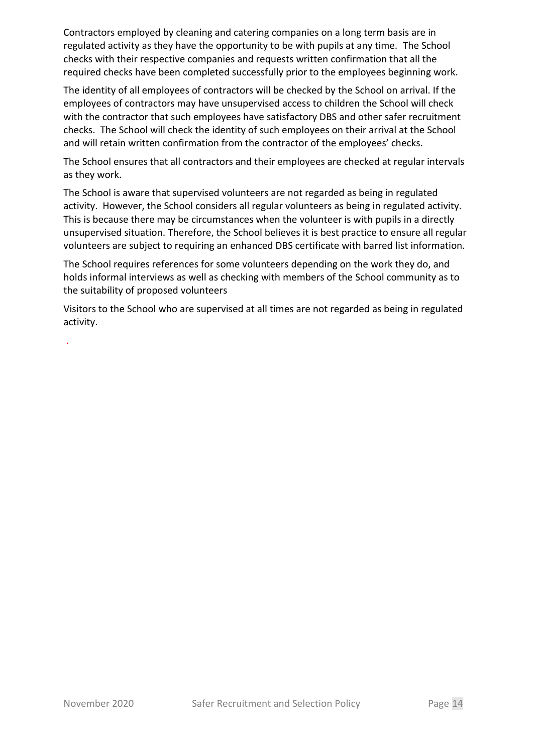Contractors employed by cleaning and catering companies on a long term basis are in regulated activity as they have the opportunity to be with pupils at any time. The School checks with their respective companies and requests written confirmation that all the required checks have been completed successfully prior to the employees beginning work.

The identity of all employees of contractors will be checked by the School on arrival. If the employees of contractors may have unsupervised access to children the School will check with the contractor that such employees have satisfactory DBS and other safer recruitment checks. The School will check the identity of such employees on their arrival at the School and will retain written confirmation from the contractor of the employees' checks.

The School ensures that all contractors and their employees are checked at regular intervals as they work.

The School is aware that supervised volunteers are not regarded as being in regulated activity. However, the School considers all regular volunteers as being in regulated activity. This is because there may be circumstances when the volunteer is with pupils in a directly unsupervised situation. Therefore, the School believes it is best practice to ensure all regular volunteers are subject to requiring an enhanced DBS certificate with barred list information.

The School requires references for some volunteers depending on the work they do, and holds informal interviews as well as checking with members of the School community as to the suitability of proposed volunteers

Visitors to the School who are supervised at all times are not regarded as being in regulated activity.

.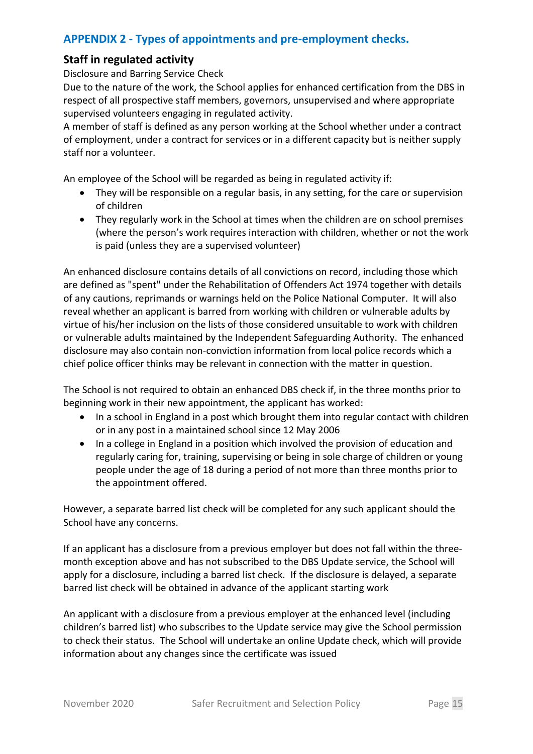## **APPENDIX 2 - Types of appointments and pre-employment checks.**

#### **Staff in regulated activity**

Disclosure and Barring Service Check

Due to the nature of the work, the School applies for enhanced certification from the DBS in respect of all prospective staff members, governors, unsupervised and where appropriate supervised volunteers engaging in regulated activity.

A member of staff is defined as any person working at the School whether under a contract of employment, under a contract for services or in a different capacity but is neither supply staff nor a volunteer.

An employee of the School will be regarded as being in regulated activity if:

- They will be responsible on a regular basis, in any setting, for the care or supervision of children
- They regularly work in the School at times when the children are on school premises (where the person's work requires interaction with children, whether or not the work is paid (unless they are a supervised volunteer)

An enhanced disclosure contains details of all convictions on record, including those which are defined as "spent" under the Rehabilitation of Offenders Act 1974 together with details of any cautions, reprimands or warnings held on the Police National Computer. It will also reveal whether an applicant is barred from working with children or vulnerable adults by virtue of his/her inclusion on the lists of those considered unsuitable to work with children or vulnerable adults maintained by the Independent Safeguarding Authority. The enhanced disclosure may also contain non-conviction information from local police records which a chief police officer thinks may be relevant in connection with the matter in question.

The School is not required to obtain an enhanced DBS check if, in the three months prior to beginning work in their new appointment, the applicant has worked:

- In a school in England in a post which brought them into regular contact with children or in any post in a maintained school since 12 May 2006
- In a college in England in a position which involved the provision of education and regularly caring for, training, supervising or being in sole charge of children or young people under the age of 18 during a period of not more than three months prior to the appointment offered.

However, a separate barred list check will be completed for any such applicant should the School have any concerns.

If an applicant has a disclosure from a previous employer but does not fall within the threemonth exception above and has not subscribed to the DBS Update service, the School will apply for a disclosure, including a barred list check. If the disclosure is delayed, a separate barred list check will be obtained in advance of the applicant starting work

An applicant with a disclosure from a previous employer at the enhanced level (including children's barred list) who subscribes to the Update service may give the School permission to check their status. The School will undertake an online Update check, which will provide information about any changes since the certificate was issued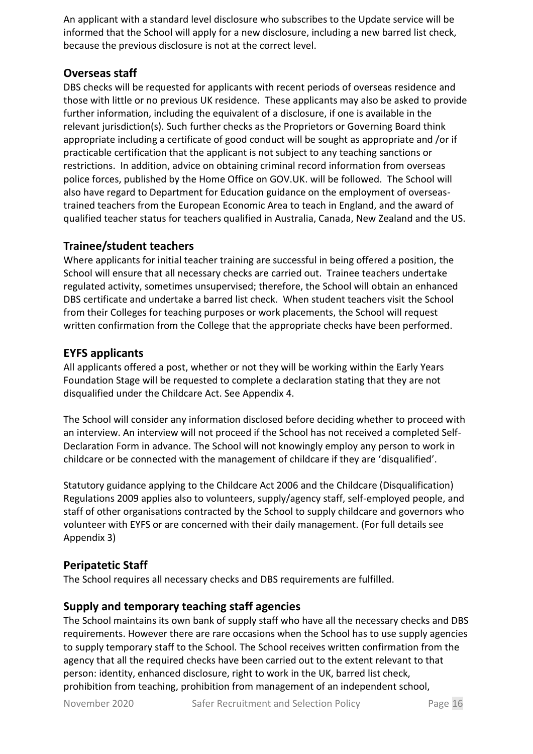An applicant with a standard level disclosure who subscribes to the Update service will be informed that the School will apply for a new disclosure, including a new barred list check, because the previous disclosure is not at the correct level.

## **Overseas staff**

DBS checks will be requested for applicants with recent periods of overseas residence and those with little or no previous UK residence. These applicants may also be asked to provide further information, including the equivalent of a disclosure, if one is available in the relevant jurisdiction(s). Such further checks as the Proprietors or Governing Board think appropriate including a certificate of good conduct will be sought as appropriate and /or if practicable certification that the applicant is not subject to any teaching sanctions or restrictions. In addition, advice on obtaining criminal record information from overseas police forces, published by the Home Office on GOV.UK. will be followed. The School will also have regard to Department for Education guidance on the employment of overseastrained teachers from the European Economic Area to teach in England, and the award of qualified teacher status for teachers qualified in Australia, Canada, New Zealand and the US.

### **Trainee/student teachers**

Where applicants for initial teacher training are successful in being offered a position, the School will ensure that all necessary checks are carried out. Trainee teachers undertake regulated activity, sometimes unsupervised; therefore, the School will obtain an enhanced DBS certificate and undertake a barred list check. When student teachers visit the School from their Colleges for teaching purposes or work placements, the School will request written confirmation from the College that the appropriate checks have been performed.

### **EYFS applicants**

All applicants offered a post, whether or not they will be working within the Early Years Foundation Stage will be requested to complete a declaration stating that they are not disqualified under the Childcare Act. See Appendix 4.

The School will consider any information disclosed before deciding whether to proceed with an interview. An interview will not proceed if the School has not received a completed Self-Declaration Form in advance. The School will not knowingly employ any person to work in childcare or be connected with the management of childcare if they are 'disqualified'.

Statutory guidance applying to the Childcare Act 2006 and the Childcare (Disqualification) Regulations 2009 applies also to volunteers, supply/agency staff, self-employed people, and staff of other organisations contracted by the School to supply childcare and governors who volunteer with EYFS or are concerned with their daily management. (For full details see Appendix 3)

#### **Peripatetic Staff**

The School requires all necessary checks and DBS requirements are fulfilled.

#### **Supply and temporary teaching staff agencies**

The School maintains its own bank of supply staff who have all the necessary checks and DBS requirements. However there are rare occasions when the School has to use supply agencies to supply temporary staff to the School. The School receives written confirmation from the agency that all the required checks have been carried out to the extent relevant to that person: identity, enhanced disclosure, right to work in the UK, barred list check, prohibition from teaching, prohibition from management of an independent school,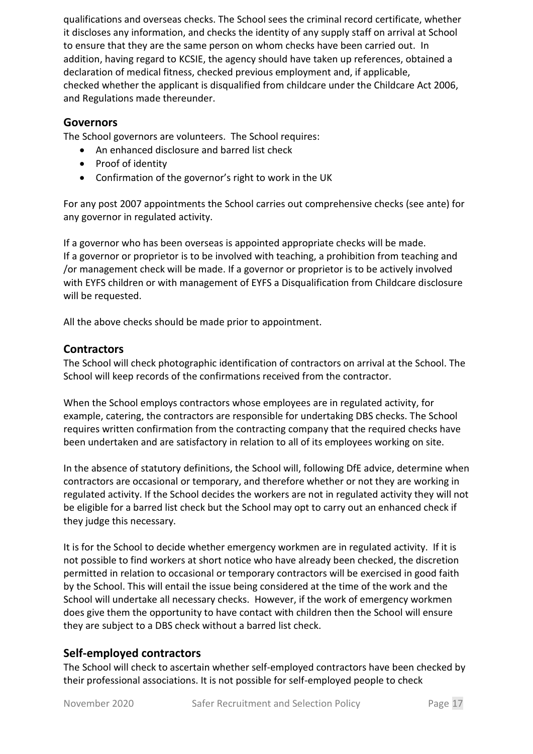qualifications and overseas checks. The School sees the criminal record certificate, whether it discloses any information, and checks the identity of any supply staff on arrival at School to ensure that they are the same person on whom checks have been carried out. In addition, having regard to KCSIE, the agency should have taken up references, obtained a declaration of medical fitness, checked previous employment and, if applicable, checked whether the applicant is disqualified from childcare under the Childcare Act 2006, and Regulations made thereunder.

#### **Governors**

The School governors are volunteers. The School requires:

- An enhanced disclosure and barred list check
- Proof of identity
- Confirmation of the governor's right to work in the UK

For any post 2007 appointments the School carries out comprehensive checks (see ante) for any governor in regulated activity.

If a governor who has been overseas is appointed appropriate checks will be made. If a governor or proprietor is to be involved with teaching, a prohibition from teaching and /or management check will be made. If a governor or proprietor is to be actively involved with EYFS children or with management of EYFS a Disqualification from Childcare disclosure will be requested.

All the above checks should be made prior to appointment.

#### **Contractors**

The School will check photographic identification of contractors on arrival at the School. The School will keep records of the confirmations received from the contractor.

When the School employs contractors whose employees are in regulated activity, for example, catering, the contractors are responsible for undertaking DBS checks. The School requires written confirmation from the contracting company that the required checks have been undertaken and are satisfactory in relation to all of its employees working on site.

In the absence of statutory definitions, the School will, following DfE advice, determine when contractors are occasional or temporary, and therefore whether or not they are working in regulated activity. If the School decides the workers are not in regulated activity they will not be eligible for a barred list check but the School may opt to carry out an enhanced check if they judge this necessary.

It is for the School to decide whether emergency workmen are in regulated activity. If it is not possible to find workers at short notice who have already been checked, the discretion permitted in relation to occasional or temporary contractors will be exercised in good faith by the School. This will entail the issue being considered at the time of the work and the School will undertake all necessary checks. However, if the work of emergency workmen does give them the opportunity to have contact with children then the School will ensure they are subject to a DBS check without a barred list check.

#### **Self-employed contractors**

The School will check to ascertain whether self-employed contractors have been checked by their professional associations. It is not possible for self-employed people to check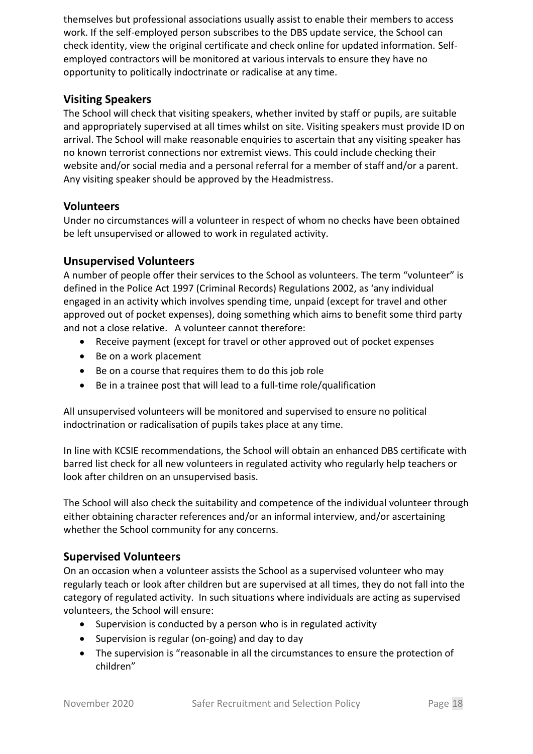themselves but professional associations usually assist to enable their members to access work. If the self-employed person subscribes to the DBS update service, the School can check identity, view the original certificate and check online for updated information. Selfemployed contractors will be monitored at various intervals to ensure they have no opportunity to politically indoctrinate or radicalise at any time.

### **Visiting Speakers**

The School will check that visiting speakers, whether invited by staff or pupils, are suitable and appropriately supervised at all times whilst on site. Visiting speakers must provide ID on arrival. The School will make reasonable enquiries to ascertain that any visiting speaker has no known terrorist connections nor extremist views. This could include checking their website and/or social media and a personal referral for a member of staff and/or a parent. Any visiting speaker should be approved by the Headmistress.

#### **Volunteers**

Under no circumstances will a volunteer in respect of whom no checks have been obtained be left unsupervised or allowed to work in regulated activity.

#### **Unsupervised Volunteers**

A number of people offer their services to the School as volunteers. The term "volunteer" is defined in the Police Act 1997 (Criminal Records) Regulations 2002, as 'any individual engaged in an activity which involves spending time, unpaid (except for travel and other approved out of pocket expenses), doing something which aims to benefit some third party and not a close relative. A volunteer cannot therefore:

- Receive payment (except for travel or other approved out of pocket expenses
- Be on a work placement
- Be on a course that requires them to do this job role
- Be in a trainee post that will lead to a full-time role/qualification

All unsupervised volunteers will be monitored and supervised to ensure no political indoctrination or radicalisation of pupils takes place at any time.

In line with KCSIE recommendations, the School will obtain an enhanced DBS certificate with barred list check for all new volunteers in regulated activity who regularly help teachers or look after children on an unsupervised basis.

The School will also check the suitability and competence of the individual volunteer through either obtaining character references and/or an informal interview, and/or ascertaining whether the School community for any concerns.

#### **Supervised Volunteers**

On an occasion when a volunteer assists the School as a supervised volunteer who may regularly teach or look after children but are supervised at all times, they do not fall into the category of regulated activity. In such situations where individuals are acting as supervised volunteers, the School will ensure:

- Supervision is conducted by a person who is in regulated activity
- Supervision is regular (on-going) and day to day
- The supervision is "reasonable in all the circumstances to ensure the protection of children"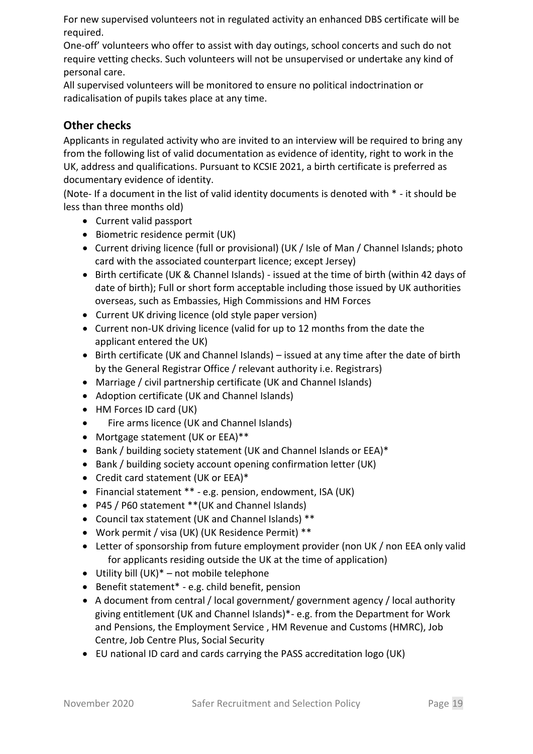For new supervised volunteers not in regulated activity an enhanced DBS certificate will be required.

One-off' volunteers who offer to assist with day outings, school concerts and such do not require vetting checks. Such volunteers will not be unsupervised or undertake any kind of personal care.

All supervised volunteers will be monitored to ensure no political indoctrination or radicalisation of pupils takes place at any time.

## **Other checks**

Applicants in regulated activity who are invited to an interview will be required to bring any from the following list of valid documentation as evidence of identity, right to work in the UK, address and qualifications. Pursuant to KCSIE 2021, a birth certificate is preferred as documentary evidence of identity.

(Note- If a document in the list of valid identity documents is denoted with \* - it should be less than three months old)

- Current valid passport
- Biometric residence permit (UK)
- Current driving licence (full or provisional) (UK / Isle of Man / Channel Islands; photo card with the associated counterpart licence; except Jersey)
- Birth certificate (UK & Channel Islands) issued at the time of birth (within 42 days of date of birth); Full or short form acceptable including those issued by UK authorities overseas, such as Embassies, High Commissions and HM Forces
- Current UK driving licence (old style paper version)
- Current non-UK driving licence (valid for up to 12 months from the date the applicant entered the UK)
- Birth certificate (UK and Channel Islands) issued at any time after the date of birth by the General Registrar Office / relevant authority i.e. Registrars)
- Marriage / civil partnership certificate (UK and Channel Islands)
- Adoption certificate (UK and Channel Islands)
- HM Forces ID card (UK)
- Fire arms licence (UK and Channel Islands)
- Mortgage statement (UK or EEA)\*\*
- Bank / building society statement (UK and Channel Islands or EEA)\*
- Bank / building society account opening confirmation letter (UK)
- Credit card statement (UK or EEA)\*
- Financial statement \*\* e.g. pension, endowment, ISA (UK)
- P45 / P60 statement \*\*(UK and Channel Islands)
- Council tax statement (UK and Channel Islands) \*\*
- Work permit / visa (UK) (UK Residence Permit) \*\*
- Letter of sponsorship from future employment provider (non UK / non EEA only valid for applicants residing outside the UK at the time of application)
- Utility bill  $(UK)^*$  not mobile telephone
- Benefit statement\* e.g. child benefit, pension
- A document from central / local government/ government agency / local authority giving entitlement (UK and Channel Islands)\*- e.g. from the Department for Work and Pensions, the Employment Service , HM Revenue and Customs (HMRC), Job Centre, Job Centre Plus, Social Security
- EU national ID card and cards carrying the PASS accreditation logo (UK)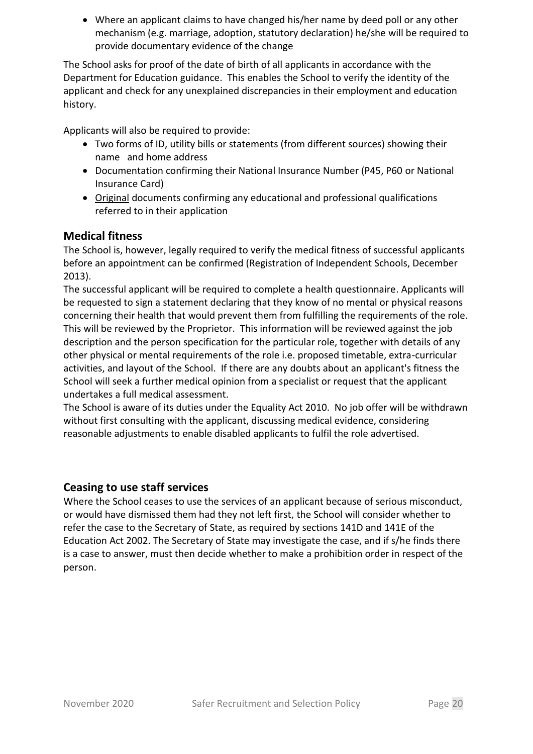• Where an applicant claims to have changed his/her name by deed poll or any other mechanism (e.g. marriage, adoption, statutory declaration) he/she will be required to provide documentary evidence of the change

The School asks for proof of the date of birth of all applicants in accordance with the Department for Education guidance. This enables the School to verify the identity of the applicant and check for any unexplained discrepancies in their employment and education history.

Applicants will also be required to provide:

- Two forms of ID, utility bills or statements (from different sources) showing their name and home address
- Documentation confirming their National Insurance Number (P45, P60 or National Insurance Card)
- Original documents confirming any educational and professional qualifications referred to in their application

#### **Medical fitness**

The School is, however, legally required to verify the medical fitness of successful applicants before an appointment can be confirmed (Registration of Independent Schools, December 2013).

The successful applicant will be required to complete a health questionnaire. Applicants will be requested to sign a statement declaring that they know of no mental or physical reasons concerning their health that would prevent them from fulfilling the requirements of the role. This will be reviewed by the Proprietor. This information will be reviewed against the job description and the person specification for the particular role, together with details of any other physical or mental requirements of the role i.e. proposed timetable, extra-curricular activities, and layout of the School. If there are any doubts about an applicant's fitness the School will seek a further medical opinion from a specialist or request that the applicant undertakes a full medical assessment.

The School is aware of its duties under the Equality Act 2010. No job offer will be withdrawn without first consulting with the applicant, discussing medical evidence, considering reasonable adjustments to enable disabled applicants to fulfil the role advertised.

#### **Ceasing to use staff services**

Where the School ceases to use the services of an applicant because of serious misconduct, or would have dismissed them had they not left first, the School will consider whether to refer the case to the Secretary of State, as required by sections 141D and 141E of the Education Act 2002. The Secretary of State may investigate the case, and if s/he finds there is a case to answer, must then decide whether to make a prohibition order in respect of the person.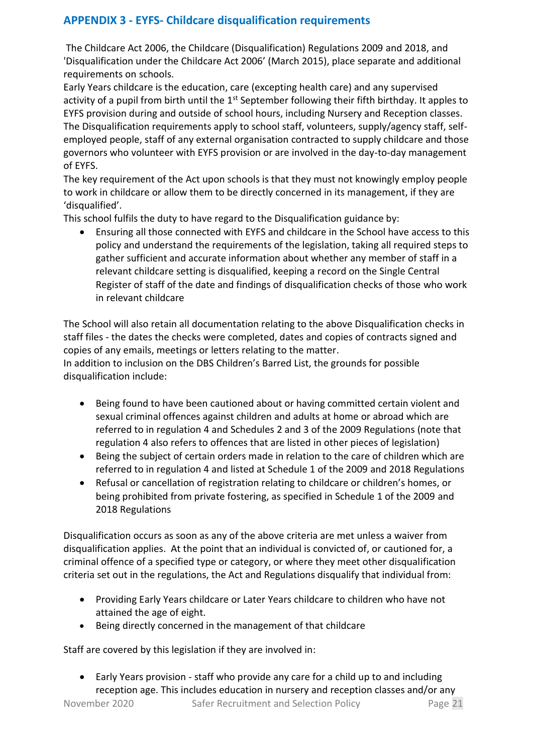# **APPENDIX 3 - EYFS- Childcare disqualification requirements**

The Childcare Act 2006, the Childcare (Disqualification) Regulations 2009 and 2018, and 'Disqualification under the Childcare Act 2006' (March 2015), place separate and additional requirements on schools.

Early Years childcare is the education, care (excepting health care) and any supervised activity of a pupil from birth until the 1<sup>st</sup> September following their fifth birthday. It apples to EYFS provision during and outside of school hours, including Nursery and Reception classes. The Disqualification requirements apply to school staff, volunteers, supply/agency staff, selfemployed people, staff of any external organisation contracted to supply childcare and those governors who volunteer with EYFS provision or are involved in the day-to-day management of EYFS.

The key requirement of the Act upon schools is that they must not knowingly employ people to work in childcare or allow them to be directly concerned in its management, if they are 'disqualified'.

This school fulfils the duty to have regard to the Disqualification guidance by:

• Ensuring all those connected with EYFS and childcare in the School have access to this policy and understand the requirements of the legislation, taking all required steps to gather sufficient and accurate information about whether any member of staff in a relevant childcare setting is disqualified, keeping a record on the Single Central Register of staff of the date and findings of disqualification checks of those who work in relevant childcare

The School will also retain all documentation relating to the above Disqualification checks in staff files - the dates the checks were completed, dates and copies of contracts signed and copies of any emails, meetings or letters relating to the matter. In addition to inclusion on the DBS Children's Barred List, the grounds for possible disqualification include:

- Being found to have been cautioned about or having committed certain violent and sexual criminal offences against children and adults at home or abroad which are referred to in regulation 4 and Schedules 2 and 3 of the 2009 Regulations (note that regulation 4 also refers to offences that are listed in other pieces of legislation)
- Being the subject of certain orders made in relation to the care of children which are referred to in regulation 4 and listed at Schedule 1 of the 2009 and 2018 Regulations
- Refusal or cancellation of registration relating to childcare or children's homes, or being prohibited from private fostering, as specified in Schedule 1 of the 2009 and 2018 Regulations

Disqualification occurs as soon as any of the above criteria are met unless a waiver from disqualification applies. At the point that an individual is convicted of, or cautioned for, a criminal offence of a specified type or category, or where they meet other disqualification criteria set out in the regulations, the Act and Regulations disqualify that individual from:

- Providing Early Years childcare or Later Years childcare to children who have not attained the age of eight.
- Being directly concerned in the management of that childcare

Staff are covered by this legislation if they are involved in:

• Early Years provision - staff who provide any care for a child up to and including reception age. This includes education in nursery and reception classes and/or any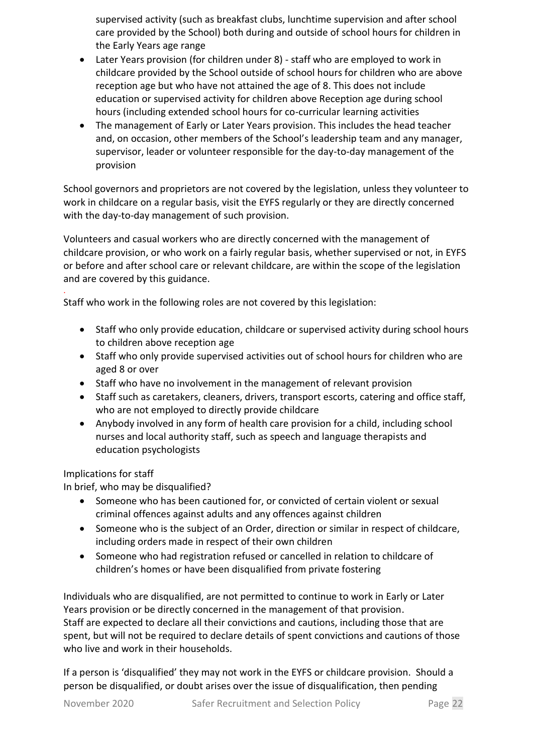supervised activity (such as breakfast clubs, lunchtime supervision and after school care provided by the School) both during and outside of school hours for children in the Early Years age range

- Later Years provision (for children under 8) staff who are employed to work in childcare provided by the School outside of school hours for children who are above reception age but who have not attained the age of 8. This does not include education or supervised activity for children above Reception age during school hours (including extended school hours for co-curricular learning activities
- The management of Early or Later Years provision. This includes the head teacher and, on occasion, other members of the School's leadership team and any manager, supervisor, leader or volunteer responsible for the day-to-day management of the provision

School governors and proprietors are not covered by the legislation, unless they volunteer to work in childcare on a regular basis, visit the EYFS regularly or they are directly concerned with the day-to-day management of such provision.

Volunteers and casual workers who are directly concerned with the management of childcare provision, or who work on a fairly regular basis, whether supervised or not, in EYFS or before and after school care or relevant childcare, are within the scope of the legislation and are covered by this guidance.

Staff who work in the following roles are not covered by this legislation:

- Staff who only provide education, childcare or supervised activity during school hours to children above reception age
- Staff who only provide supervised activities out of school hours for children who are aged 8 or over
- Staff who have no involvement in the management of relevant provision
- Staff such as caretakers, cleaners, drivers, transport escorts, catering and office staff, who are not employed to directly provide childcare
- Anybody involved in any form of health care provision for a child, including school nurses and local authority staff, such as speech and language therapists and education psychologists

Implications for staff

.

In brief, who may be disqualified?

- Someone who has been cautioned for, or convicted of certain violent or sexual criminal offences against adults and any offences against children
- Someone who is the subject of an Order, direction or similar in respect of childcare, including orders made in respect of their own children
- Someone who had registration refused or cancelled in relation to childcare of children's homes or have been disqualified from private fostering

Individuals who are disqualified, are not permitted to continue to work in Early or Later Years provision or be directly concerned in the management of that provision. Staff are expected to declare all their convictions and cautions, including those that are spent, but will not be required to declare details of spent convictions and cautions of those who live and work in their households.

If a person is 'disqualified' they may not work in the EYFS or childcare provision. Should a person be disqualified, or doubt arises over the issue of disqualification, then pending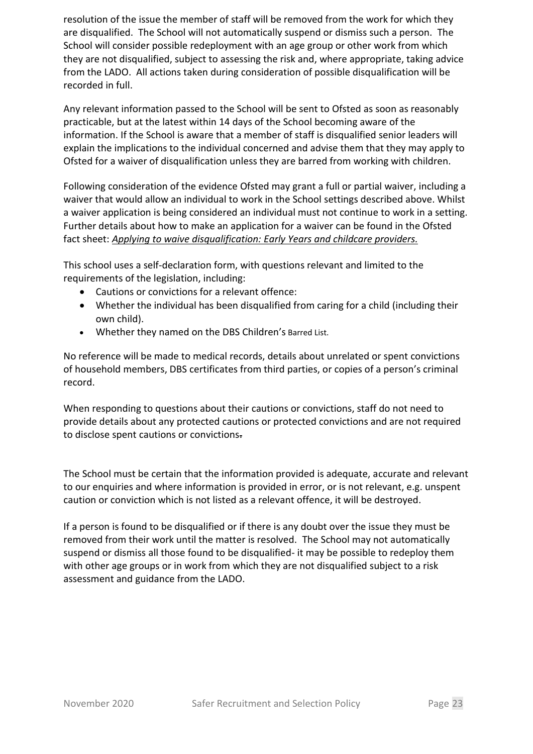resolution of the issue the member of staff will be removed from the work for which they are disqualified. The School will not automatically suspend or dismiss such a person. The School will consider possible redeployment with an age group or other work from which they are not disqualified, subject to assessing the risk and, where appropriate, taking advice from the LADO. All actions taken during consideration of possible disqualification will be recorded in full.

Any relevant information passed to the School will be sent to Ofsted as soon as reasonably practicable, but at the latest within 14 days of the School becoming aware of the information. If the School is aware that a member of staff is disqualified senior leaders will explain the implications to the individual concerned and advise them that they may apply to Ofsted for a waiver of disqualification unless they are barred from working with children.

Following consideration of the evidence Ofsted may grant a full or partial waiver, including a waiver that would allow an individual to work in the School settings described above. Whilst a waiver application is being considered an individual must not continue to work in a setting. Further details about how to make an application for a waiver can be found in the Ofsted fact sheet: *Applying to waive disqualification: Early Years and childcare providers.* 

This school uses a self-declaration form, with questions relevant and limited to the requirements of the legislation, including:

- Cautions or convictions for a relevant offence:
- Whether the individual has been disqualified from caring for a child (including their own child).
- Whether they named on the DBS Children's Barred List.

No reference will be made to medical records, details about unrelated or spent convictions of household members, DBS certificates from third parties, or copies of a person's criminal record.

When responding to questions about their cautions or convictions, staff do not need to provide details about any protected cautions or protected convictions and are not required to disclose spent cautions or convictions.

The School must be certain that the information provided is adequate, accurate and relevant to our enquiries and where information is provided in error, or is not relevant, e.g. unspent caution or conviction which is not listed as a relevant offence, it will be destroyed.

If a person is found to be disqualified or if there is any doubt over the issue they must be removed from their work until the matter is resolved. The School may not automatically suspend or dismiss all those found to be disqualified- it may be possible to redeploy them with other age groups or in work from which they are not disqualified subject to a risk assessment and guidance from the LADO.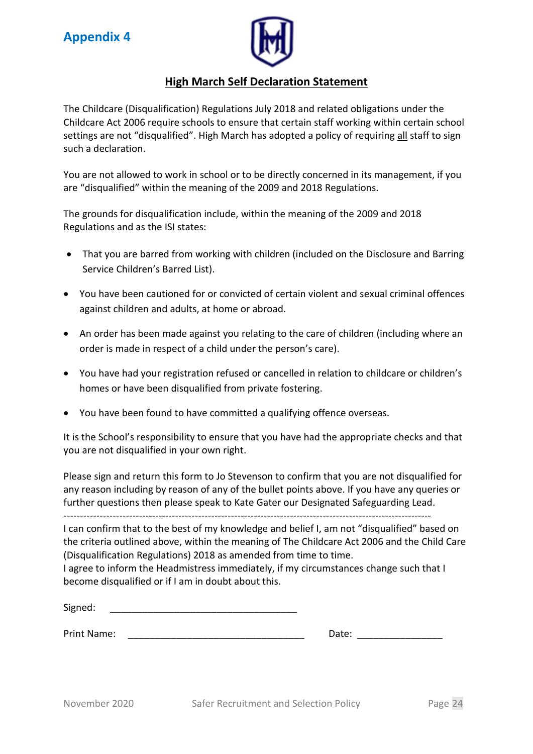

# **High March Self Declaration Statement**

The Childcare (Disqualification) Regulations July 2018 and related obligations under the Childcare Act 2006 require schools to ensure that certain staff working within certain school settings are not "disqualified". High March has adopted a policy of requiring all staff to sign such a declaration.

You are not allowed to work in school or to be directly concerned in its management, if you are "disqualified" within the meaning of the 2009 and 2018 Regulations.

The grounds for disqualification include, within the meaning of the 2009 and 2018 Regulations and as the ISI states:

- That you are barred from working with children (included on the Disclosure and Barring Service Children's Barred List).
- You have been cautioned for or convicted of certain violent and sexual criminal offences against children and adults, at home or abroad.
- An order has been made against you relating to the care of children (including where an order is made in respect of a child under the person's care).
- You have had your registration refused or cancelled in relation to childcare or children's homes or have been disqualified from private fostering.
- You have been found to have committed a qualifying offence overseas.

It is the School's responsibility to ensure that you have had the appropriate checks and that you are not disqualified in your own right.

Please sign and return this form to Jo Stevenson to confirm that you are not disqualified for any reason including by reason of any of the bullet points above. If you have any queries or further questions then please speak to Kate Gater our Designated Safeguarding Lead. ----------------------------------------------------------------------------------------------------------------

I can confirm that to the best of my knowledge and belief I, am not "disqualified" based on the criteria outlined above, within the meaning of The Childcare Act 2006 and the Child Care (Disqualification Regulations) 2018 as amended from time to time.

I agree to inform the Headmistress immediately, if my circumstances change such that I become disqualified or if I am in doubt about this.

Signed:

Print Name: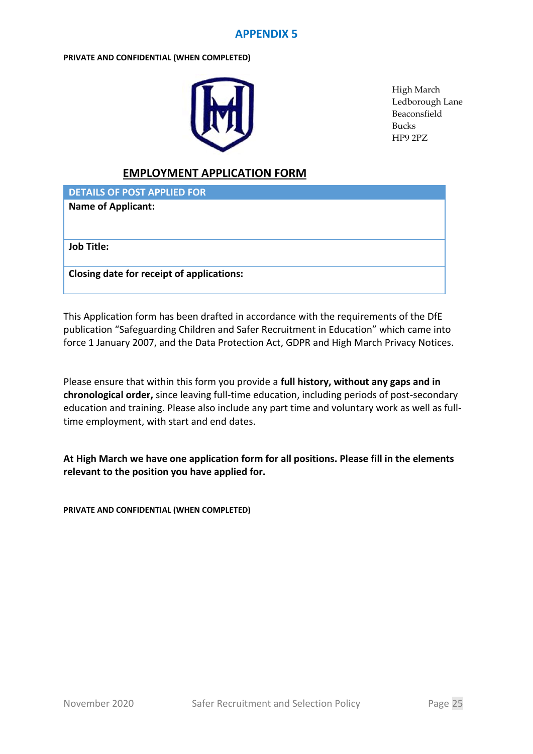#### **APPENDIX 5**

#### **PRIVATE AND CONFIDENTIAL (WHEN COMPLETED)**



High March Ledborough Lane Beaconsfield Bucks HP9 2PZ

#### **EMPLOYMENT APPLICATION FORM**

**DETAILS OF POST APPLIED FOR**

**Name of Applicant:**

**Job Title:** 

**Closing date for receipt of applications:** 

This Application form has been drafted in accordance with the requirements of the DfE publication "Safeguarding Children and Safer Recruitment in Education" which came into force 1 January 2007, and the Data Protection Act, GDPR and High March Privacy Notices.

Please ensure that within this form you provide a **full history, without any gaps and in chronological order,** since leaving full-time education, including periods of post-secondary education and training. Please also include any part time and voluntary work as well as fulltime employment, with start and end dates.

**At High March we have one application form for all positions. Please fill in the elements relevant to the position you have applied for.**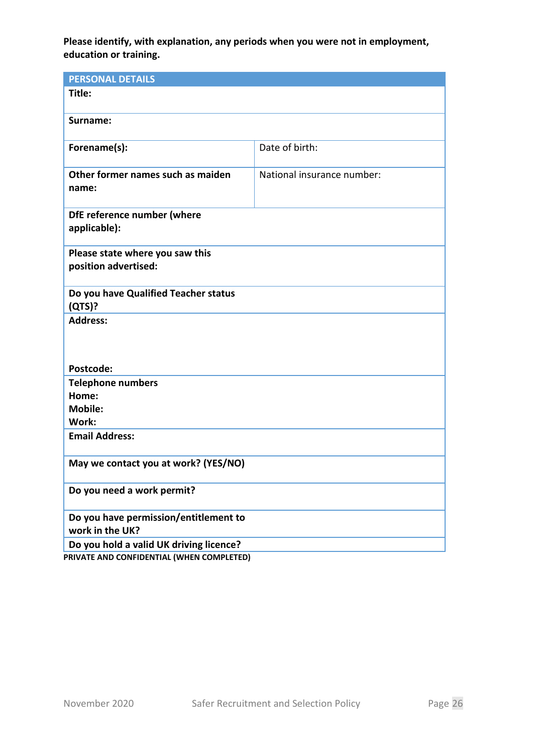**Please identify, with explanation, any periods when you were not in employment, education or training.**

| <b>PERSONAL DETAILS</b>                                  |                            |  |  |  |  |
|----------------------------------------------------------|----------------------------|--|--|--|--|
| Title:                                                   |                            |  |  |  |  |
| Surname:                                                 |                            |  |  |  |  |
| Forename(s):                                             | Date of birth:             |  |  |  |  |
| Other former names such as maiden<br>name:               | National insurance number: |  |  |  |  |
| DfE reference number (where<br>applicable):              |                            |  |  |  |  |
| Please state where you saw this<br>position advertised:  |                            |  |  |  |  |
| Do you have Qualified Teacher status<br>(QTS)?           |                            |  |  |  |  |
| <b>Address:</b>                                          |                            |  |  |  |  |
| Postcode:                                                |                            |  |  |  |  |
| <b>Telephone numbers</b>                                 |                            |  |  |  |  |
| Home:                                                    |                            |  |  |  |  |
| <b>Mobile:</b><br>Work:                                  |                            |  |  |  |  |
| <b>Email Address:</b>                                    |                            |  |  |  |  |
| May we contact you at work? (YES/NO)                     |                            |  |  |  |  |
| Do you need a work permit?                               |                            |  |  |  |  |
| Do you have permission/entitlement to<br>work in the UK? |                            |  |  |  |  |
| Do you hold a valid UK driving licence?                  |                            |  |  |  |  |
| PRIVATE AND CONFIDENTIAL (WHEN COMPLETED)                |                            |  |  |  |  |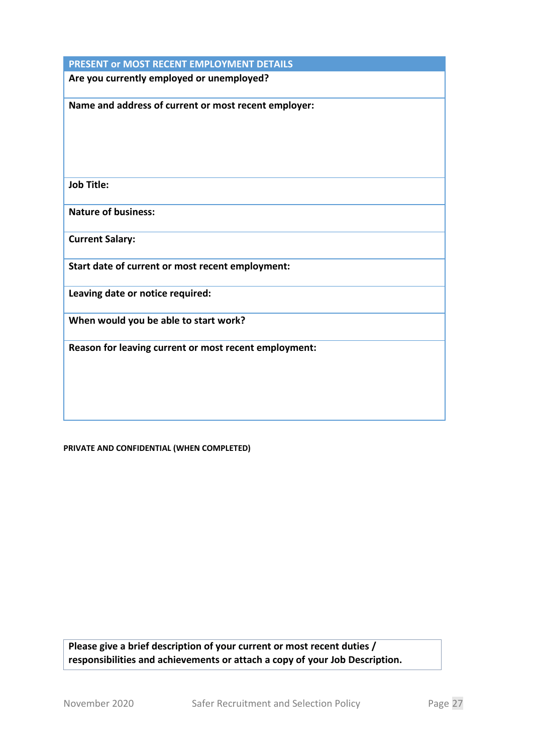| PRESENT or MOST RECENT EMPLOYMENT DETAILS             |
|-------------------------------------------------------|
| Are you currently employed or unemployed?             |
| Name and address of current or most recent employer:  |
| <b>Job Title:</b>                                     |
| <b>Nature of business:</b>                            |
| <b>Current Salary:</b>                                |
| Start date of current or most recent employment:      |
| Leaving date or notice required:                      |
| When would you be able to start work?                 |
| Reason for leaving current or most recent employment: |

**PRIVATE AND CONFIDENTIAL (WHEN COMPLETED)**

**Please give a brief description of your current or most recent duties / responsibilities and achievements or attach a copy of your Job Description.**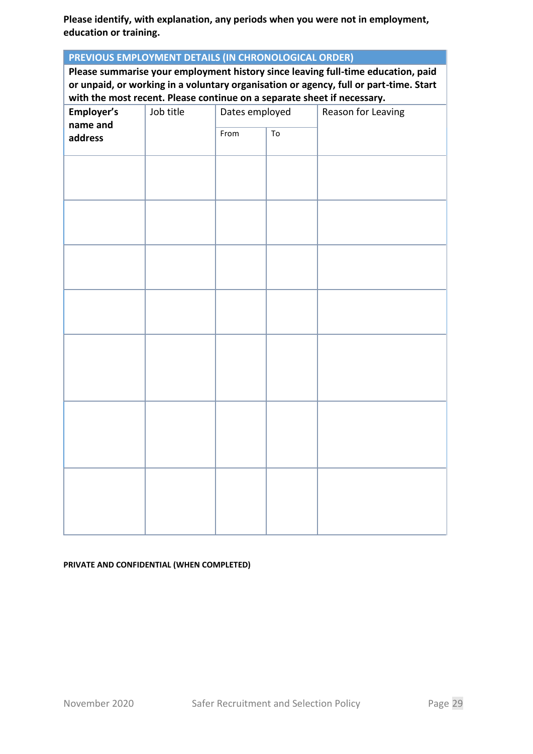**Please identify, with explanation, any periods when you were not in employment, education or training.**

| PREVIOUS EMPLOYMENT DETAILS (IN CHRONOLOGICAL ORDER) |                                                                                                                                                                  |                |    |                    |
|------------------------------------------------------|------------------------------------------------------------------------------------------------------------------------------------------------------------------|----------------|----|--------------------|
|                                                      | Please summarise your employment history since leaving full-time education, paid                                                                                 |                |    |                    |
|                                                      | or unpaid, or working in a voluntary organisation or agency, full or part-time. Start<br>with the most recent. Please continue on a separate sheet if necessary. |                |    |                    |
| Employer's                                           | Job title                                                                                                                                                        | Dates employed |    | Reason for Leaving |
| name and                                             |                                                                                                                                                                  |                |    |                    |
| address                                              |                                                                                                                                                                  | From           | To |                    |
|                                                      |                                                                                                                                                                  |                |    |                    |
|                                                      |                                                                                                                                                                  |                |    |                    |
|                                                      |                                                                                                                                                                  |                |    |                    |
|                                                      |                                                                                                                                                                  |                |    |                    |
|                                                      |                                                                                                                                                                  |                |    |                    |
|                                                      |                                                                                                                                                                  |                |    |                    |
|                                                      |                                                                                                                                                                  |                |    |                    |
|                                                      |                                                                                                                                                                  |                |    |                    |
|                                                      |                                                                                                                                                                  |                |    |                    |
|                                                      |                                                                                                                                                                  |                |    |                    |
|                                                      |                                                                                                                                                                  |                |    |                    |
|                                                      |                                                                                                                                                                  |                |    |                    |
|                                                      |                                                                                                                                                                  |                |    |                    |
|                                                      |                                                                                                                                                                  |                |    |                    |
|                                                      |                                                                                                                                                                  |                |    |                    |
|                                                      |                                                                                                                                                                  |                |    |                    |
|                                                      |                                                                                                                                                                  |                |    |                    |
|                                                      |                                                                                                                                                                  |                |    |                    |
|                                                      |                                                                                                                                                                  |                |    |                    |
|                                                      |                                                                                                                                                                  |                |    |                    |
|                                                      |                                                                                                                                                                  |                |    |                    |
|                                                      |                                                                                                                                                                  |                |    |                    |
|                                                      |                                                                                                                                                                  |                |    |                    |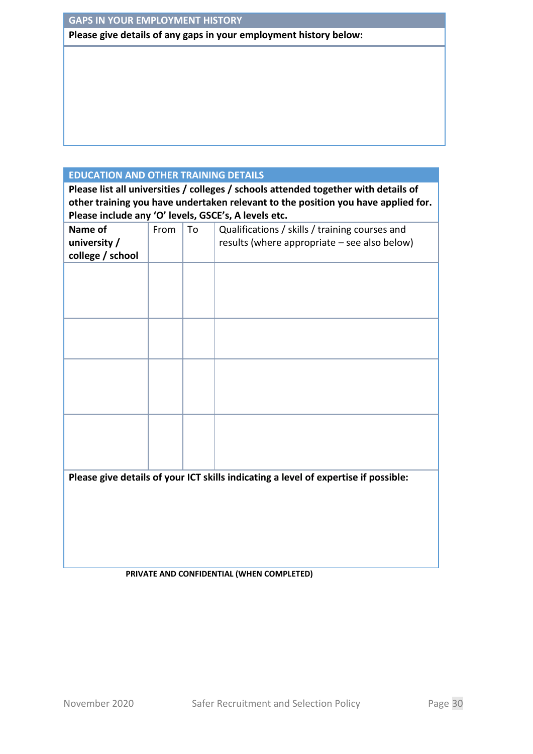#### **GAPS IN YOUR EMPLOYMENT HISTORY**

**Please give details of any gaps in your employment history below:**

#### **EDUCATION AND OTHER TRAINING DETAILS**

**Please list all universities / colleges / schools attended together with details of other training you have undertaken relevant to the position you have applied for. Please include any 'O' levels, GSCE's, A levels etc.**

| Name of<br>university /<br>college / school | From | To | Qualifications / skills / training courses and<br>results (where appropriate - see also below) |
|---------------------------------------------|------|----|------------------------------------------------------------------------------------------------|
|                                             |      |    |                                                                                                |
|                                             |      |    |                                                                                                |
|                                             |      |    |                                                                                                |
|                                             |      |    |                                                                                                |
|                                             |      |    |                                                                                                |
|                                             |      |    |                                                                                                |
|                                             |      |    |                                                                                                |
|                                             |      |    | Please give details of your ICT skills indicating a level of expertise if possible:            |
|                                             |      |    |                                                                                                |
|                                             |      |    |                                                                                                |
|                                             |      |    |                                                                                                |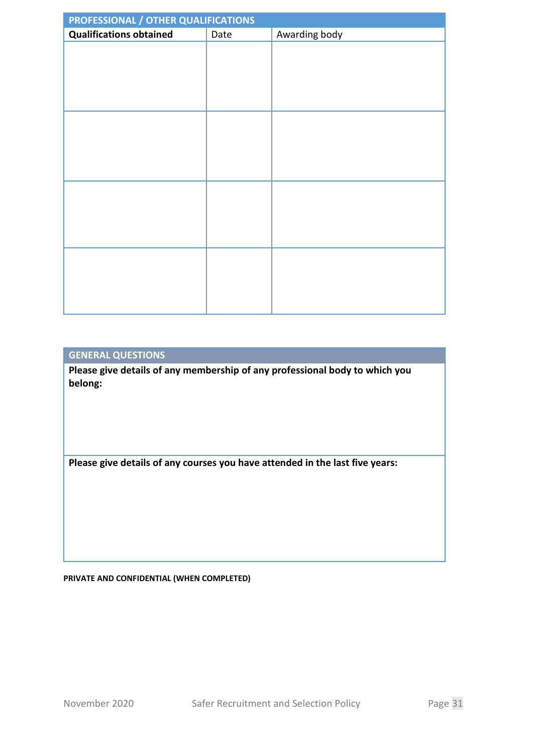| PROFESSIONAL / OTHER QUALIFICATIONS |      |               |  |  |  |
|-------------------------------------|------|---------------|--|--|--|
| <b>Qualifications obtained</b>      | Date | Awarding body |  |  |  |
|                                     |      |               |  |  |  |
|                                     |      |               |  |  |  |
|                                     |      |               |  |  |  |
|                                     |      |               |  |  |  |
|                                     |      |               |  |  |  |
|                                     |      |               |  |  |  |
|                                     |      |               |  |  |  |
|                                     |      |               |  |  |  |
|                                     |      |               |  |  |  |
|                                     |      |               |  |  |  |
|                                     |      |               |  |  |  |
|                                     |      |               |  |  |  |
|                                     |      |               |  |  |  |
|                                     |      |               |  |  |  |
|                                     |      |               |  |  |  |
|                                     |      |               |  |  |  |
|                                     |      |               |  |  |  |
|                                     |      |               |  |  |  |
|                                     |      |               |  |  |  |

#### **GENERAL QUESTIONS**

**Please give details of any membership of any professional body to which you belong:**

**Please give details of any courses you have attended in the last five years:**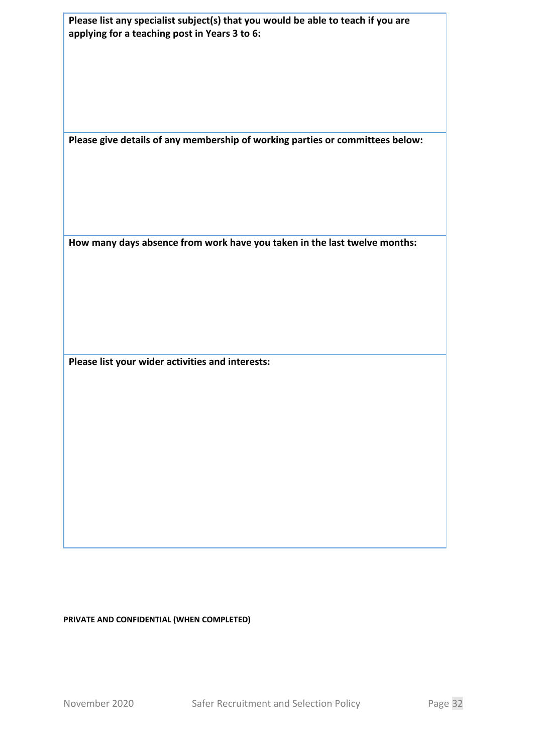| Please list any specialist subject(s) that you would be able to teach if you are<br>applying for a teaching post in Years 3 to 6:<br>Please give details of any membership of working parties or committees below:<br>How many days absence from work have you taken in the last twelve months:<br>Please list your wider activities and interests: |  |  |
|-----------------------------------------------------------------------------------------------------------------------------------------------------------------------------------------------------------------------------------------------------------------------------------------------------------------------------------------------------|--|--|
|                                                                                                                                                                                                                                                                                                                                                     |  |  |
|                                                                                                                                                                                                                                                                                                                                                     |  |  |
|                                                                                                                                                                                                                                                                                                                                                     |  |  |
|                                                                                                                                                                                                                                                                                                                                                     |  |  |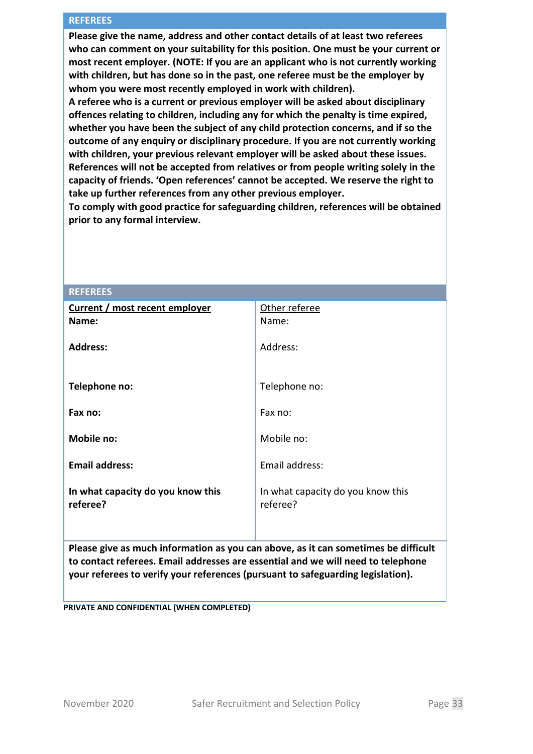#### **REFEREES**

**Please give the name, address and other contact details of at least two referees who can comment on your suitability for this position. One must be your current or most recent employer. (NOTE: If you are an applicant who is not currently working with children, but has done so in the past, one referee must be the employer by whom you were most recently employed in work with children).**

**A referee who is a current or previous employer will be asked about disciplinary offences relating to children, including any for which the penalty is time expired, whether you have been the subject of any child protection concerns, and if so the outcome of any enquiry or disciplinary procedure. If you are not currently working with children, your previous relevant employer will be asked about these issues. References will not be accepted from relatives or from people writing solely in the capacity of friends. 'Open references' cannot be accepted. We reserve the right to take up further references from any other previous employer.**

**To comply with good practice for safeguarding children, references will be obtained prior to any formal interview.**

| <b>REFEREES</b>                               |                                               |
|-----------------------------------------------|-----------------------------------------------|
| <b>Current / most recent employer</b>         | Other referee                                 |
| Name:                                         | Name:                                         |
| <b>Address:</b>                               | Address:                                      |
| Telephone no:                                 | Telephone no:                                 |
| Fax no:                                       | Fax no:                                       |
| Mobile no:                                    | Mobile no:                                    |
| <b>Email address:</b>                         | Email address:                                |
| In what capacity do you know this<br>referee? | In what capacity do you know this<br>referee? |

**Please give as much information as you can above, as it can sometimes be difficult to contact referees. Email addresses are essential and we will need to telephone your referees to verify your references (pursuant to safeguarding legislation).**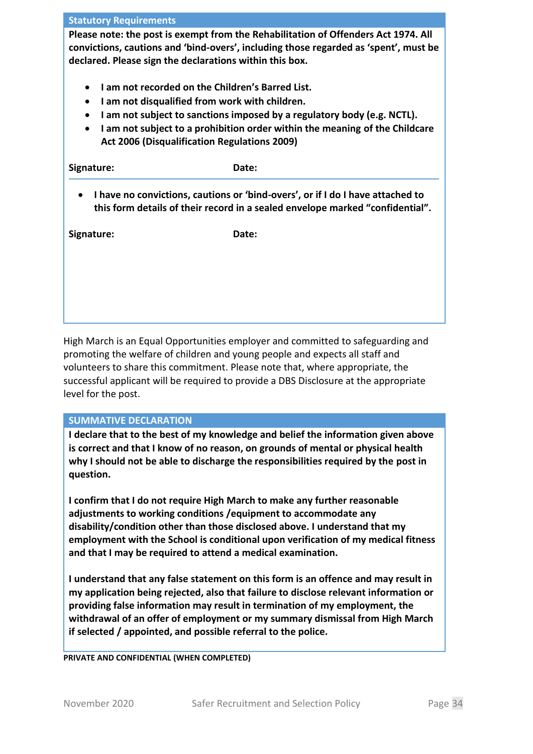#### **Statutory Requirements**

**Please note: the post is exempt from the Rehabilitation of Offenders Act 1974. All convictions, cautions and 'bind-overs', including those regarded as 'spent', must be declared. Please sign the declarations within this box.**

- **I am not recorded on the Children's Barred List.**
- **I am not disqualified from work with children.**
- **I am not subject to sanctions imposed by a regulatory body (e.g. NCTL).**
- **I am not subject to a prohibition order within the meaning of the Childcare Act 2006 (Disqualification Regulations 2009)**

| Signature:                                                                                                                                                                   | Date: |  |  |  |
|------------------------------------------------------------------------------------------------------------------------------------------------------------------------------|-------|--|--|--|
| I have no convictions, cautions or 'bind-overs', or if I do I have attached to<br>$\bullet$<br>this form details of their record in a sealed envelope marked "confidential". |       |  |  |  |
| Signature:                                                                                                                                                                   | Date: |  |  |  |

High March is an Equal Opportunities employer and committed to safeguarding and promoting the welfare of children and young people and expects all staff and volunteers to share this commitment. Please note that, where appropriate, the successful applicant will be required to provide a DBS Disclosure at the appropriate level for the post.

#### **SUMMATIVE DECLARATION**

**I declare that to the best of my knowledge and belief the information given above is correct and that I know of no reason, on grounds of mental or physical health why I should not be able to discharge the responsibilities required by the post in question.**

**I confirm that I do not require High March to make any further reasonable adjustments to working conditions /equipment to accommodate any disability/condition other than those disclosed above. I understand that my employment with the School is conditional upon verification of my medical fitness and that I may be required to attend a medical examination.** 

**I understand that any false statement on this form is an offence and may result in my application being rejected, also that failure to disclose relevant information or providing false information may result in termination of my employment, the withdrawal of an offer of employment or my summary dismissal from High March if selected / appointed, and possible referral to the police.**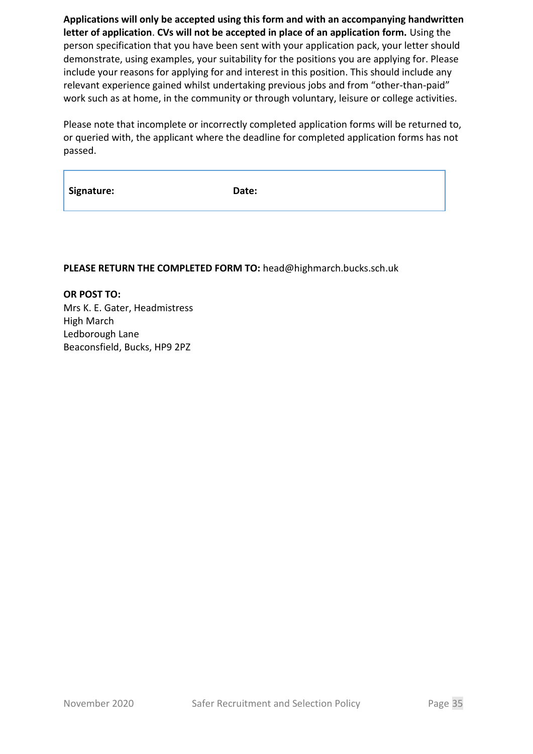**Applications will only be accepted using this form and with an accompanying handwritten letter of application**. **CVs will not be accepted in place of an application form.** Using the person specification that you have been sent with your application pack, your letter should demonstrate, using examples, your suitability for the positions you are applying for. Please include your reasons for applying for and interest in this position. This should include any relevant experience gained whilst undertaking previous jobs and from "other-than-paid" work such as at home, in the community or through voluntary, leisure or college activities.

Please note that incomplete or incorrectly completed application forms will be returned to, or queried with, the applicant where the deadline for completed application forms has not passed.

| Signature: |
|------------|
|------------|

Date:

#### **PLEASE RETURN THE COMPLETED FORM TO:** head@highmarch.bucks.sch.uk

**OR POST TO:** Mrs K. E. Gater, Headmistress High March Ledborough Lane Beaconsfield, Bucks, HP9 2PZ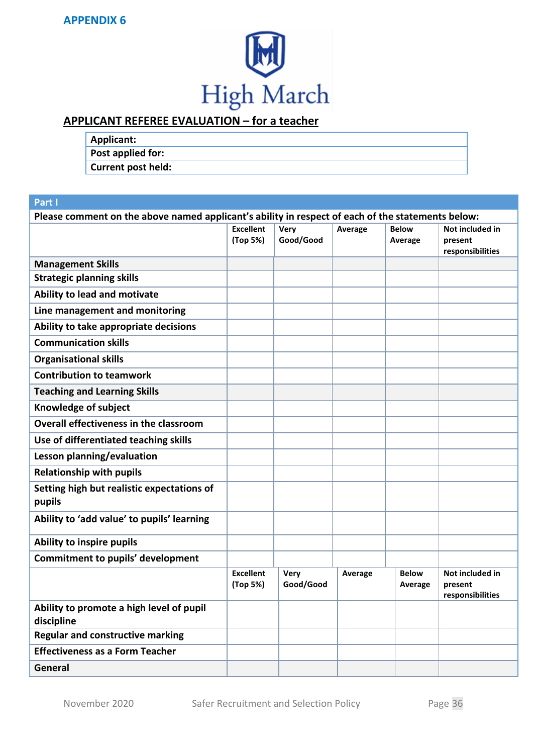

# **APPLICANT REFEREE EVALUATION – for a teacher**

| <b>Applicant:</b>         |  |
|---------------------------|--|
| Post applied for:         |  |
| <b>Current post held:</b> |  |

#### **Part I**

| Please comment on the above named applicant's ability in respect of each of the statements below: |                              |                          |         |                         |                                                |  |
|---------------------------------------------------------------------------------------------------|------------------------------|--------------------------|---------|-------------------------|------------------------------------------------|--|
|                                                                                                   | <b>Excellent</b><br>(Top 5%) | <b>Very</b><br>Good/Good | Average | <b>Below</b><br>Average | Not included in<br>present<br>responsibilities |  |
| <b>Management Skills</b>                                                                          |                              |                          |         |                         |                                                |  |
| <b>Strategic planning skills</b>                                                                  |                              |                          |         |                         |                                                |  |
| Ability to lead and motivate                                                                      |                              |                          |         |                         |                                                |  |
| Line management and monitoring                                                                    |                              |                          |         |                         |                                                |  |
| Ability to take appropriate decisions                                                             |                              |                          |         |                         |                                                |  |
| <b>Communication skills</b>                                                                       |                              |                          |         |                         |                                                |  |
| <b>Organisational skills</b>                                                                      |                              |                          |         |                         |                                                |  |
| <b>Contribution to teamwork</b>                                                                   |                              |                          |         |                         |                                                |  |
| <b>Teaching and Learning Skills</b>                                                               |                              |                          |         |                         |                                                |  |
| Knowledge of subject                                                                              |                              |                          |         |                         |                                                |  |
| Overall effectiveness in the classroom                                                            |                              |                          |         |                         |                                                |  |
| Use of differentiated teaching skills                                                             |                              |                          |         |                         |                                                |  |
| Lesson planning/evaluation                                                                        |                              |                          |         |                         |                                                |  |
| <b>Relationship with pupils</b>                                                                   |                              |                          |         |                         |                                                |  |
| Setting high but realistic expectations of<br>pupils                                              |                              |                          |         |                         |                                                |  |
| Ability to 'add value' to pupils' learning                                                        |                              |                          |         |                         |                                                |  |
| Ability to inspire pupils                                                                         |                              |                          |         |                         |                                                |  |
| <b>Commitment to pupils' development</b>                                                          |                              |                          |         |                         |                                                |  |
|                                                                                                   | <b>Excellent</b><br>(Top 5%) | <b>Very</b><br>Good/Good | Average | <b>Below</b><br>Average | Not included in<br>present<br>responsibilities |  |
| Ability to promote a high level of pupil<br>discipline                                            |                              |                          |         |                         |                                                |  |
| <b>Regular and constructive marking</b>                                                           |                              |                          |         |                         |                                                |  |
| <b>Effectiveness as a Form Teacher</b>                                                            |                              |                          |         |                         |                                                |  |
| General                                                                                           |                              |                          |         |                         |                                                |  |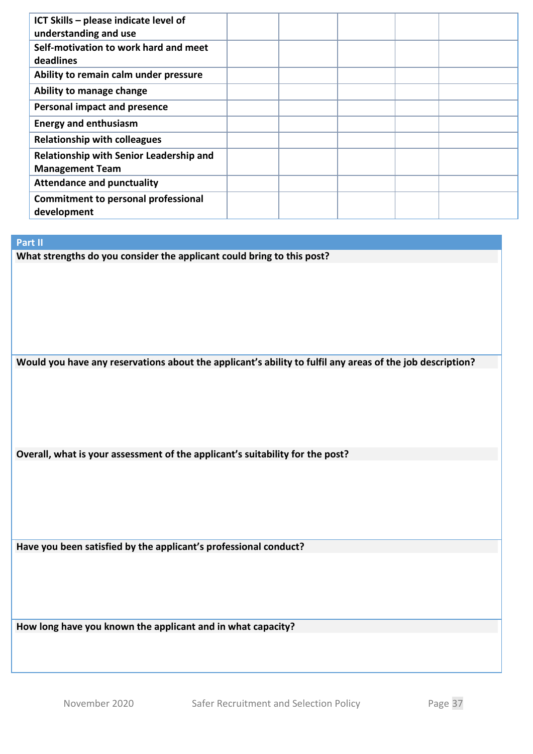| ICT Skills - please indicate level of      |  |  |  |
|--------------------------------------------|--|--|--|
| understanding and use                      |  |  |  |
| Self-motivation to work hard and meet      |  |  |  |
| deadlines                                  |  |  |  |
| Ability to remain calm under pressure      |  |  |  |
| Ability to manage change                   |  |  |  |
| <b>Personal impact and presence</b>        |  |  |  |
| <b>Energy and enthusiasm</b>               |  |  |  |
| <b>Relationship with colleagues</b>        |  |  |  |
| Relationship with Senior Leadership and    |  |  |  |
| <b>Management Team</b>                     |  |  |  |
| <b>Attendance and punctuality</b>          |  |  |  |
| <b>Commitment to personal professional</b> |  |  |  |
| development                                |  |  |  |

#### **Part II**

**What strengths do you consider the applicant could bring to this post?**

**Would you have any reservations about the applicant's ability to fulfil any areas of the job description?**

**Overall, what is your assessment of the applicant's suitability for the post?**

**Have you been satisfied by the applicant's professional conduct?**

**How long have you known the applicant and in what capacity?**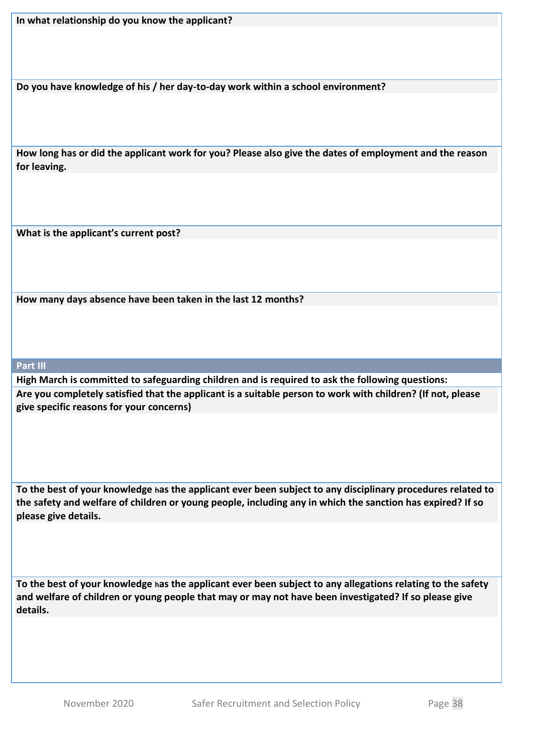**Do you have knowledge of his / her day-to-day work within a school environment?**

**How long has or did the applicant work for you? Please also give the dates of employment and the reason for leaving.**

**What is the applicant's current post?**

**How many days absence have been taken in the last 12 months?**

**Part III**

**High March is committed to safeguarding children and is required to ask the following questions: Are you completely satisfied that the applicant is a suitable person to work with children? (If not, please give specific reasons for your concerns)**

**To the best of your knowledge has the applicant ever been subject to any disciplinary procedures related to the safety and welfare of children or young people, including any in which the sanction has expired? If so please give details.**

**To the best of your knowledge has the applicant ever been subject to any allegations relating to the safety and welfare of children or young people that may or may not have been investigated? If so please give details.**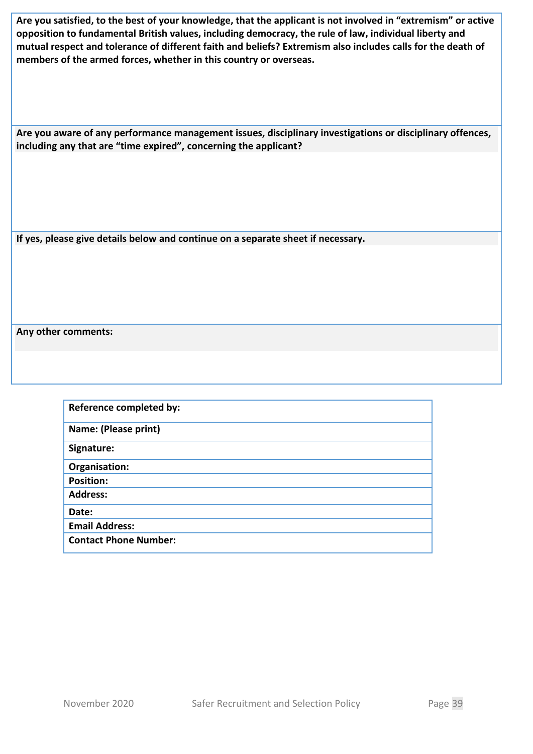**Are you satisfied, to the best of your knowledge, that the applicant is not involved in "extremism" or active opposition to fundamental British values, including democracy, the rule of law, individual liberty and mutual respect and tolerance of different faith and beliefs? Extremism also includes calls for the death of members of the armed forces, whether in this country or overseas.**

**Are you aware of any performance management issues, disciplinary investigations or disciplinary offences, including any that are "time expired", concerning the applicant?**

**If yes, please give details below and continue on a separate sheet if necessary.**

**Any other comments:**

| Reference completed by:      |
|------------------------------|
| Name: (Please print)         |
| Signature:                   |
| Organisation:                |
| <b>Position:</b>             |
| <b>Address:</b>              |
| Date:                        |
| <b>Email Address:</b>        |
| <b>Contact Phone Number:</b> |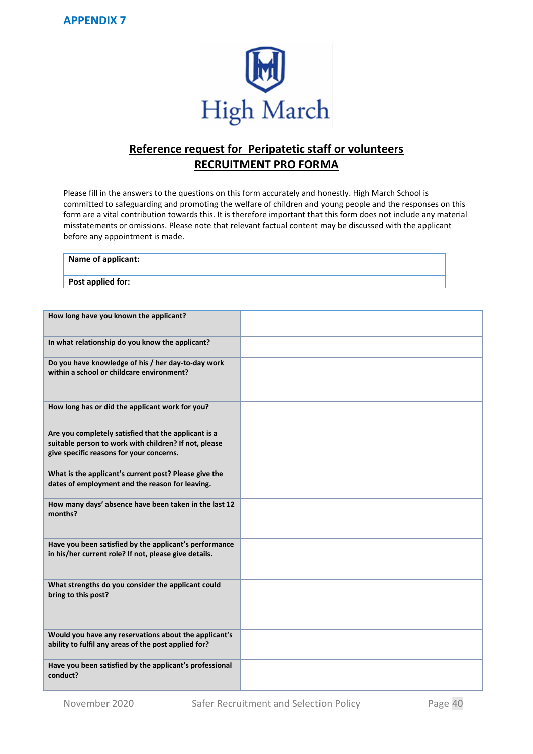**APPENDIX 7**



# **Reference request for Peripatetic staff or volunteers RECRUITMENT PRO FORMA**

Please fill in the answers to the questions on this form accurately and honestly. High March School is committed to safeguarding and promoting the welfare of children and young people and the responses on this form are a vital contribution towards this. It is therefore important that this form does not include any material misstatements or omissions. Please note that relevant factual content may be discussed with the applicant before any appointment is made.

| Name of applicant: |  |  |
|--------------------|--|--|
| Post applied for:  |  |  |

| How long have you known the applicant?                                                                                                                    |  |
|-----------------------------------------------------------------------------------------------------------------------------------------------------------|--|
| In what relationship do you know the applicant?                                                                                                           |  |
| Do you have knowledge of his / her day-to-day work<br>within a school or childcare environment?                                                           |  |
| How long has or did the applicant work for you?                                                                                                           |  |
| Are you completely satisfied that the applicant is a<br>suitable person to work with children? If not, please<br>give specific reasons for your concerns. |  |
| What is the applicant's current post? Please give the<br>dates of employment and the reason for leaving.                                                  |  |
| How many days' absence have been taken in the last 12<br>months?                                                                                          |  |
| Have you been satisfied by the applicant's performance<br>in his/her current role? If not, please give details.                                           |  |
| What strengths do you consider the applicant could<br>bring to this post?                                                                                 |  |
| Would you have any reservations about the applicant's<br>ability to fulfil any areas of the post applied for?                                             |  |
| Have you been satisfied by the applicant's professional<br>conduct?                                                                                       |  |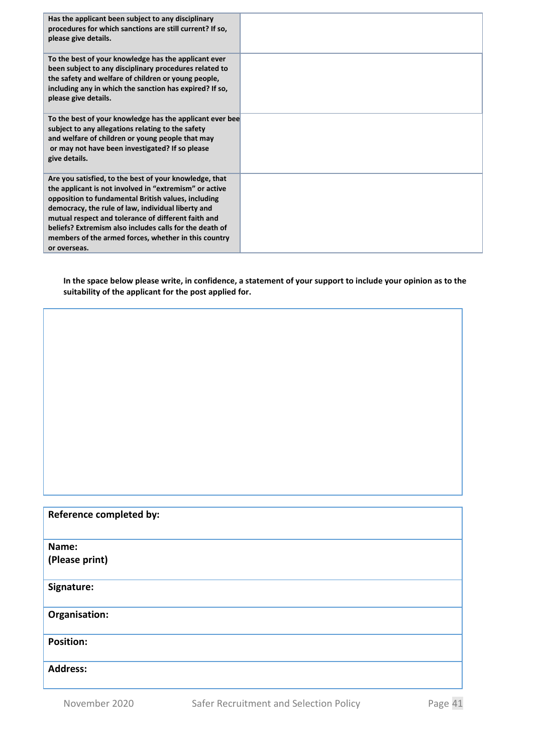| Has the applicant been subject to any disciplinary<br>procedures for which sanctions are still current? If so,<br>please give details.                                                                                                                                                                                                                                                                                  |  |
|-------------------------------------------------------------------------------------------------------------------------------------------------------------------------------------------------------------------------------------------------------------------------------------------------------------------------------------------------------------------------------------------------------------------------|--|
| To the best of your knowledge has the applicant ever<br>been subject to any disciplinary procedures related to<br>the safety and welfare of children or young people,<br>including any in which the sanction has expired? If so,<br>please give details.                                                                                                                                                                |  |
| To the best of your knowledge has the applicant ever bee<br>subject to any allegations relating to the safety<br>and welfare of children or young people that may<br>or may not have been investigated? If so please<br>give details.                                                                                                                                                                                   |  |
| Are you satisfied, to the best of your knowledge, that<br>the applicant is not involved in "extremism" or active<br>opposition to fundamental British values, including<br>democracy, the rule of law, individual liberty and<br>mutual respect and tolerance of different faith and<br>beliefs? Extremism also includes calls for the death of<br>members of the armed forces, whether in this country<br>or overseas. |  |

**In the space below please write, in confidence, a statement of your support to include your opinion as to the suitability of the applicant for the post applied for.** 

#### **Reference completed by:**

**Name:** 

**(Please print)**

#### **Signature:**

**Organisation:**

**Position:**

**Address:**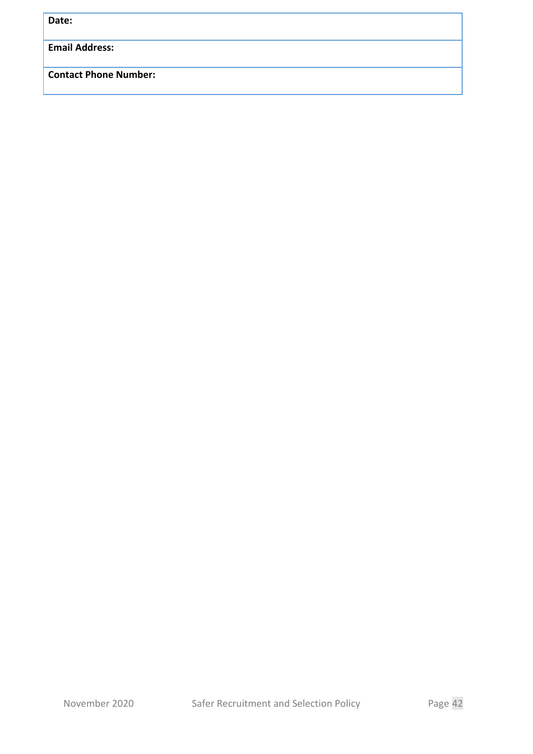**Date:**

**Email Address:**

**Contact Phone Number:**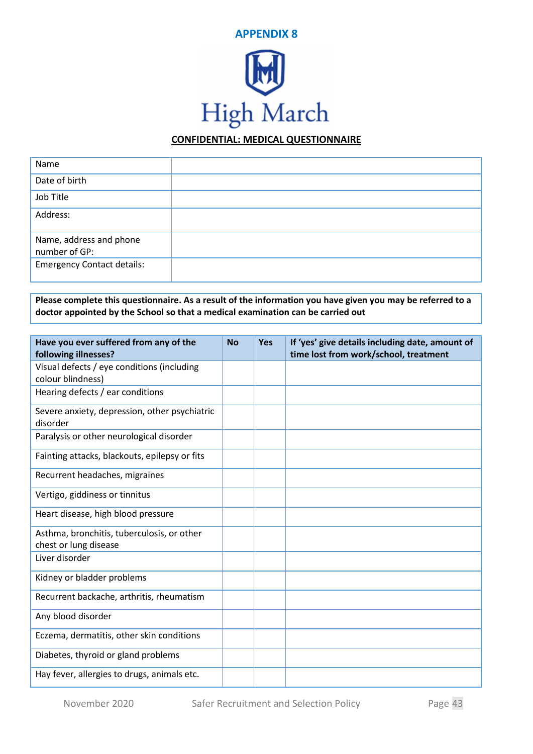

#### **CONFIDENTIAL: MEDICAL QUESTIONNAIRE**

| Name                              |  |
|-----------------------------------|--|
| Date of birth                     |  |
| Job Title                         |  |
| Address:                          |  |
| Name, address and phone           |  |
| number of GP:                     |  |
| <b>Emergency Contact details:</b> |  |

**Please complete this questionnaire. As a result of the information you have given you may be referred to a doctor appointed by the School so that a medical examination can be carried out**

| Have you ever suffered from any of the<br>following illnesses?      | <b>No</b> | <b>Yes</b> | If 'yes' give details including date, amount of<br>time lost from work/school, treatment |
|---------------------------------------------------------------------|-----------|------------|------------------------------------------------------------------------------------------|
| Visual defects / eye conditions (including<br>colour blindness)     |           |            |                                                                                          |
| Hearing defects / ear conditions                                    |           |            |                                                                                          |
| Severe anxiety, depression, other psychiatric<br>disorder           |           |            |                                                                                          |
| Paralysis or other neurological disorder                            |           |            |                                                                                          |
| Fainting attacks, blackouts, epilepsy or fits                       |           |            |                                                                                          |
| Recurrent headaches, migraines                                      |           |            |                                                                                          |
| Vertigo, giddiness or tinnitus                                      |           |            |                                                                                          |
| Heart disease, high blood pressure                                  |           |            |                                                                                          |
| Asthma, bronchitis, tuberculosis, or other<br>chest or lung disease |           |            |                                                                                          |
| Liver disorder                                                      |           |            |                                                                                          |
| Kidney or bladder problems                                          |           |            |                                                                                          |
| Recurrent backache, arthritis, rheumatism                           |           |            |                                                                                          |
| Any blood disorder                                                  |           |            |                                                                                          |
| Eczema, dermatitis, other skin conditions                           |           |            |                                                                                          |
| Diabetes, thyroid or gland problems                                 |           |            |                                                                                          |
| Hay fever, allergies to drugs, animals etc.                         |           |            |                                                                                          |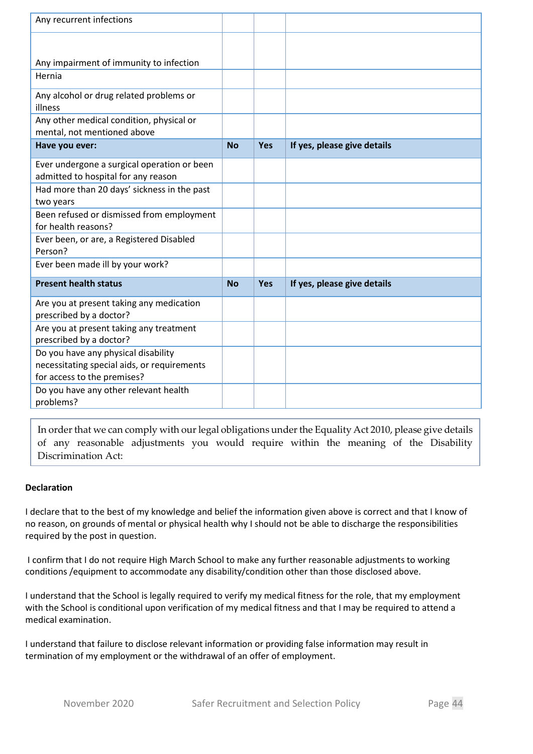| Any recurrent infections                                                                                          |           |            |                             |
|-------------------------------------------------------------------------------------------------------------------|-----------|------------|-----------------------------|
|                                                                                                                   |           |            |                             |
| Any impairment of immunity to infection                                                                           |           |            |                             |
| Hernia                                                                                                            |           |            |                             |
| Any alcohol or drug related problems or<br>illness                                                                |           |            |                             |
| Any other medical condition, physical or<br>mental, not mentioned above                                           |           |            |                             |
| Have you ever:                                                                                                    | <b>No</b> | <b>Yes</b> | If yes, please give details |
| Ever undergone a surgical operation or been<br>admitted to hospital for any reason                                |           |            |                             |
| Had more than 20 days' sickness in the past<br>two years                                                          |           |            |                             |
| Been refused or dismissed from employment<br>for health reasons?                                                  |           |            |                             |
| Ever been, or are, a Registered Disabled<br>Person?                                                               |           |            |                             |
| Ever been made ill by your work?                                                                                  |           |            |                             |
| <b>Present health status</b>                                                                                      | <b>No</b> | <b>Yes</b> | If yes, please give details |
| Are you at present taking any medication<br>prescribed by a doctor?                                               |           |            |                             |
| Are you at present taking any treatment<br>prescribed by a doctor?                                                |           |            |                             |
| Do you have any physical disability<br>necessitating special aids, or requirements<br>for access to the premises? |           |            |                             |
| Do you have any other relevant health<br>problems?                                                                |           |            |                             |

In order that we can comply with our legal obligations under the Equality Act 2010, please give details of any reasonable adjustments you would require within the meaning of the Disability Discrimination Act:

#### **Declaration**

I declare that to the best of my knowledge and belief the information given above is correct and that I know of no reason, on grounds of mental or physical health why I should not be able to discharge the responsibilities required by the post in question.

I confirm that I do not require High March School to make any further reasonable adjustments to working conditions /equipment to accommodate any disability/condition other than those disclosed above.

I understand that the School is legally required to verify my medical fitness for the role, that my employment with the School is conditional upon verification of my medical fitness and that I may be required to attend a medical examination.

I understand that failure to disclose relevant information or providing false information may result in termination of my employment or the withdrawal of an offer of employment.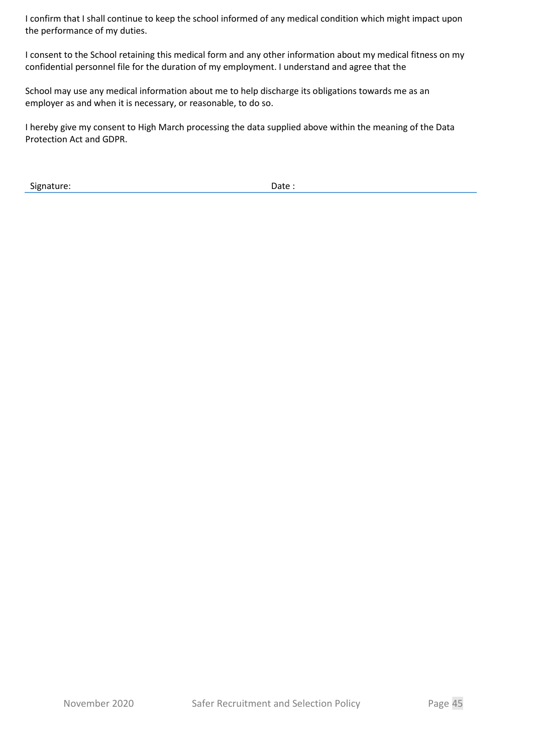I confirm that I shall continue to keep the school informed of any medical condition which might impact upon the performance of my duties.

I consent to the School retaining this medical form and any other information about my medical fitness on my confidential personnel file for the duration of my employment. I understand and agree that the

School may use any medical information about me to help discharge its obligations towards me as an employer as and when it is necessary, or reasonable, to do so.

I hereby give my consent to High March processing the data supplied above within the meaning of the Data Protection Act and GDPR.

Signature: Date : Date : Date : Date : Date : Date : Date : Date : Date : Date :